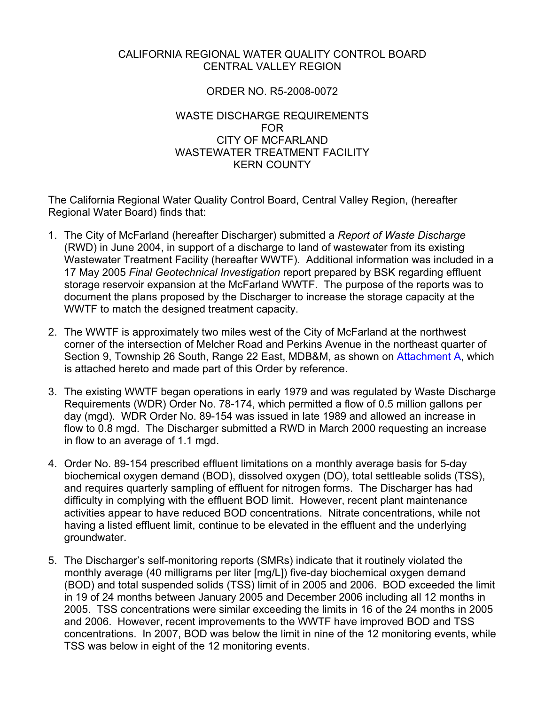### CALIFORNIA REGIONAL WATER QUALITY CONTROL BOARD CENTRAL VALLEY REGION

### ORDER NO. R5-2008-0072

### WASTE DISCHARGE REQUIREMENTS FOR CITY OF MCFARLAND WASTEWATER TREATMENT FACILITY KERN COUNTY

The California Regional Water Quality Control Board, Central Valley Region, (hereafter Regional Water Board) finds that:

- 1. The City of McFarland (hereafter Discharger) submitted a *Report of Waste Discharge* (RWD) in June 2004, in support of a discharge to land of wastewater from its existing Wastewater Treatment Facility (hereafter WWTF). Additional information was included in a 17 May 2005 *Final Geotechnical Investigation* report prepared by BSK regarding effluent storage reservoir expansion at the McFarland WWTF. The purpose of the reports was to document the plans proposed by the Discharger to increase the storage capacity at the WWTF to match the designed treatment capacity.
- 2. The WWTF is approximately two miles west of the City of McFarland at the northwest corner of the intersection of Melcher Road and Perkins Avenue in the northeast quarter of Section 9, Township 26 South, Range 22 East, MDB&M, as shown on Attachment A, which is attached hereto and made part of this Order by reference.
- 3. The existing WWTF began operations in early 1979 and was regulated by Waste Discharge Requirements (WDR) Order No. 78-174, which permitted a flow of 0.5 million gallons per day (mgd). WDR Order No. 89-154 was issued in late 1989 and allowed an increase in flow to 0.8 mgd. The Discharger submitted a RWD in March 2000 requesting an increase in flow to an average of 1.1 mgd.
- 4. Order No. 89-154 prescribed effluent limitations on a monthly average basis for 5-day biochemical oxygen demand (BOD), dissolved oxygen (DO), total settleable solids (TSS), and requires quarterly sampling of effluent for nitrogen forms. The Discharger has had difficulty in complying with the effluent BOD limit. However, recent plant maintenance activities appear to have reduced BOD concentrations. Nitrate concentrations, while not having a listed effluent limit, continue to be elevated in the effluent and the underlying groundwater.
- 5. The Discharger's self-monitoring reports (SMRs) indicate that it routinely violated the monthly average (40 milligrams per liter [mg/L]) five-day biochemical oxygen demand (BOD) and total suspended solids (TSS) limit of in 2005 and 2006. BOD exceeded the limit in 19 of 24 months between January 2005 and December 2006 including all 12 months in 2005. TSS concentrations were similar exceeding the limits in 16 of the 24 months in 2005 and 2006. However, recent improvements to the WWTF have improved BOD and TSS concentrations. In 2007, BOD was below the limit in nine of the 12 monitoring events, while TSS was below in eight of the 12 monitoring events.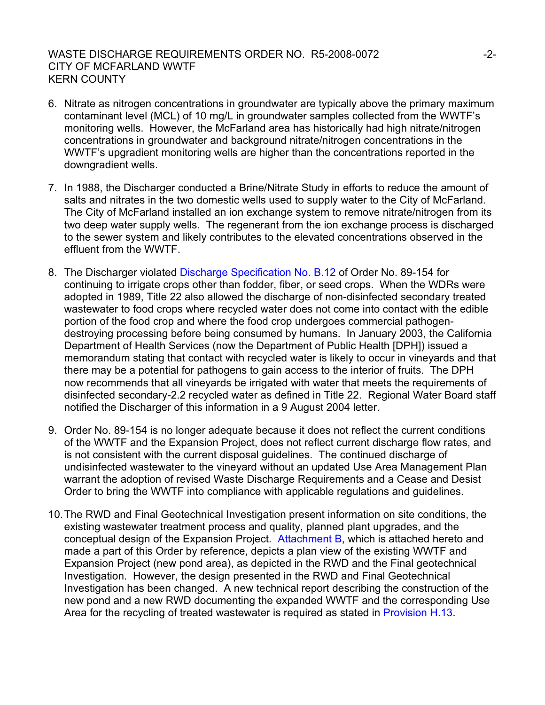### WASTE DISCHARGE REQUIREMENTS ORDER NO. R5-2008-0072  $-2$ -2-CITY OF MCFARLAND WWTF KERN COUNTY

- 6. Nitrate as nitrogen concentrations in groundwater are typically above the primary maximum contaminant level (MCL) of 10 mg/L in groundwater samples collected from the WWTF's monitoring wells. However, the McFarland area has historically had high nitrate/nitrogen concentrations in groundwater and background nitrate/nitrogen concentrations in the WWTF's upgradient monitoring wells are higher than the concentrations reported in the downgradient wells.
- 7. In 1988, the Discharger conducted a Brine/Nitrate Study in efforts to reduce the amount of salts and nitrates in the two domestic wells used to supply water to the City of McFarland. The City of McFarland installed an ion exchange system to remove nitrate/nitrogen from its two deep water supply wells. The regenerant from the ion exchange process is discharged to the sewer system and likely contributes to the elevated concentrations observed in the effluent from the WWTF.
- 8. The Discharger violated Discharge Specification No. B.12 of Order No. 89-154 for continuing to irrigate crops other than fodder, fiber, or seed crops. When the WDRs were adopted in 1989, Title 22 also allowed the discharge of non-disinfected secondary treated wastewater to food crops where recycled water does not come into contact with the edible portion of the food crop and where the food crop undergoes commercial pathogendestroying processing before being consumed by humans. In January 2003, the California Department of Health Services (now the Department of Public Health [DPH]) issued a memorandum stating that contact with recycled water is likely to occur in vineyards and that there may be a potential for pathogens to gain access to the interior of fruits. The DPH now recommends that all vineyards be irrigated with water that meets the requirements of disinfected secondary-2.2 recycled water as defined in Title 22. Regional Water Board staff notified the Discharger of this information in a 9 August 2004 letter.
- 9. Order No. 89-154 is no longer adequate because it does not reflect the current conditions of the WWTF and the Expansion Project, does not reflect current discharge flow rates, and is not consistent with the current disposal guidelines. The continued discharge of undisinfected wastewater to the vineyard without an updated Use Area Management Plan warrant the adoption of revised Waste Discharge Requirements and a Cease and Desist Order to bring the WWTF into compliance with applicable regulations and guidelines.
- 10. The RWD and Final Geotechnical Investigation present information on site conditions, the existing wastewater treatment process and quality, planned plant upgrades, and the conceptual design of the Expansion Project. Attachment B, which is attached hereto and made a part of this Order by reference, depicts a plan view of the existing WWTF and Expansion Project (new pond area), as depicted in the RWD and the Final geotechnical Investigation. However, the design presented in the RWD and Final Geotechnical Investigation has been changed. A new technical report describing the construction of the new pond and a new RWD documenting the expanded WWTF and the corresponding Use Area for the recycling of treated wastewater is required as stated in Provision H.13.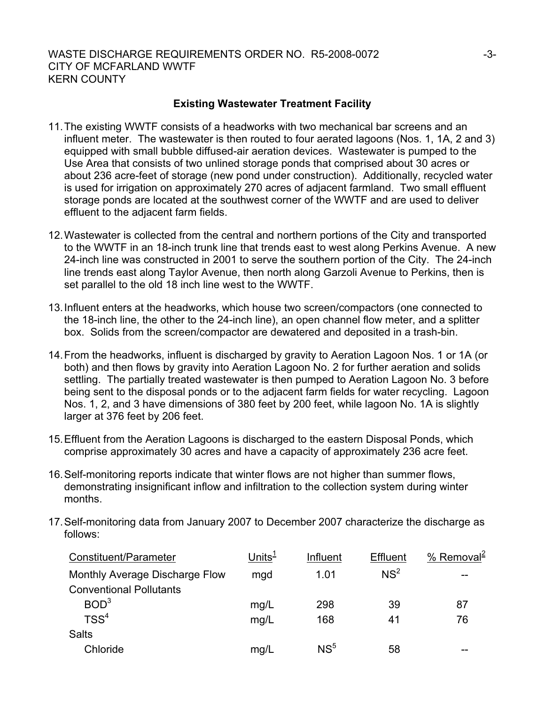### **Existing Wastewater Treatment Facility**

- 11. The existing WWTF consists of a headworks with two mechanical bar screens and an influent meter. The wastewater is then routed to four aerated lagoons (Nos. 1, 1A, 2 and 3) equipped with small bubble diffused-air aeration devices. Wastewater is pumped to the Use Area that consists of two unlined storage ponds that comprised about 30 acres or about 236 acre-feet of storage (new pond under construction). Additionally, recycled water is used for irrigation on approximately 270 acres of adjacent farmland. Two small effluent storage ponds are located at the southwest corner of the WWTF and are used to deliver effluent to the adjacent farm fields.
- 12. Wastewater is collected from the central and northern portions of the City and transported to the WWTF in an 18-inch trunk line that trends east to west along Perkins Avenue. A new 24-inch line was constructed in 2001 to serve the southern portion of the City. The 24-inch line trends east along Taylor Avenue, then north along Garzoli Avenue to Perkins, then is set parallel to the old 18 inch line west to the WWTF.
- 13. Influent enters at the headworks, which house two screen/compactors (one connected to the 18-inch line, the other to the 24-inch line), an open channel flow meter, and a splitter box. Solids from the screen/compactor are dewatered and deposited in a trash-bin.
- 14. From the headworks, influent is discharged by gravity to Aeration Lagoon Nos. 1 or 1A (or both) and then flows by gravity into Aeration Lagoon No. 2 for further aeration and solids settling. The partially treated wastewater is then pumped to Aeration Lagoon No. 3 before being sent to the disposal ponds or to the adjacent farm fields for water recycling. Lagoon Nos. 1, 2, and 3 have dimensions of 380 feet by 200 feet, while lagoon No. 1A is slightly larger at 376 feet by 206 feet.
- 15. Effluent from the Aeration Lagoons is discharged to the eastern Disposal Ponds, which comprise approximately 30 acres and have a capacity of approximately 236 acre feet.
- 16. Self-monitoring reports indicate that winter flows are not higher than summer flows, demonstrating insignificant inflow and infiltration to the collection system during winter months.
- 17. Self-monitoring data from January 2007 to December 2007 characterize the discharge as follows:

| Constituent/Parameter          | Units $1$ | Influent        | <b>Effluent</b> | % Removal <sup>2</sup> |
|--------------------------------|-----------|-----------------|-----------------|------------------------|
| Monthly Average Discharge Flow | mgd       | 1.01            | NS <sup>2</sup> |                        |
| <b>Conventional Pollutants</b> |           |                 |                 |                        |
| BOD <sup>3</sup>               | mg/L      | 298             | 39              | 87                     |
| TSS <sup>4</sup>               | mg/L      | 168             | 41              | 76                     |
| <b>Salts</b>                   |           |                 |                 |                        |
| Chloride                       | mg/L      | NS <sup>5</sup> | 58              |                        |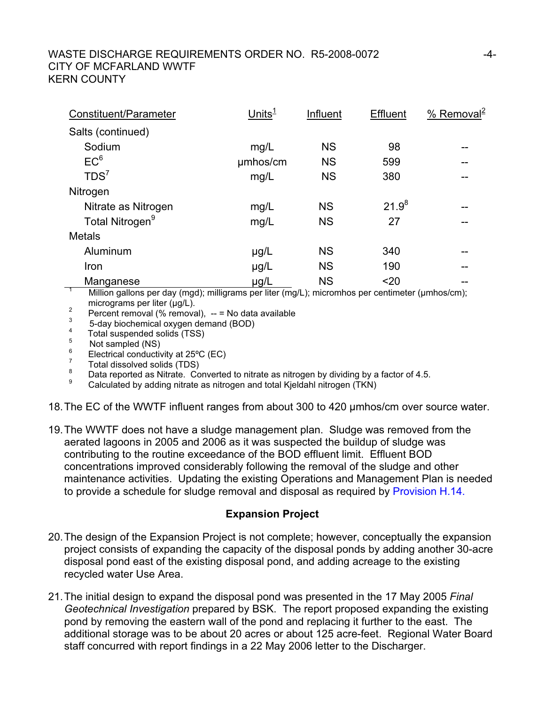### WASTE DISCHARGE REQUIREMENTS ORDER NO. R5-2008-0072  $-4$ -CITY OF MCFARLAND WWTF KERN COUNTY

| Constituent/Parameter       | Unit $\mathsf{s}^{\mathsf{1}}$ | Influent  | <b>Effluent</b> | % Removal <sup>2</sup> |
|-----------------------------|--------------------------------|-----------|-----------------|------------------------|
| Salts (continued)           |                                |           |                 |                        |
| Sodium                      | mg/L                           | <b>NS</b> | 98              |                        |
| EC <sup>6</sup>             | umhos/cm                       | <b>NS</b> | 599             | --                     |
| TDS <sup>7</sup>            | mg/L                           | <b>NS</b> | 380             |                        |
| Nitrogen                    |                                |           |                 |                        |
| Nitrate as Nitrogen         | mg/L                           | <b>NS</b> | $21.9^{8}$      | --                     |
| Total Nitrogen <sup>9</sup> | mg/L                           | <b>NS</b> | 27              |                        |
| <b>Metals</b>               |                                |           |                 |                        |
| Aluminum                    | $\mu$ g/L                      | <b>NS</b> | 340             |                        |
| Iron                        | $\mu$ g/L                      | <b>NS</b> | 190             | --                     |
| Manganese                   | µg/L                           | <b>NS</b> | $20$            |                        |

Million gallons per day (mgd); milligrams per liter (mg/L); micromhos per centimeter (µmhos/cm);

- micrograms per liter ( $\mu$ g/L).<br>
Percent removal (% removal), -- = No data available<br>  $\frac{3}{2}$  = devidences percent demand (BOD).
- $\frac{3}{4}$  5-day biochemical oxygen demand (BOD)
- $^{4}$  Total suspended solids (TSS)
- Not sampled (NS)
- 6 Electrical conductivity at 25ºC (EC)
- 7  $\frac{7}{8}$  Total dissolved solids (TDS)
- $\frac{8}{9}$  Data reported as Nitrate. Converted to nitrate as nitrogen by dividing by a factor of 4.5.
- Calculated by adding nitrate as nitrogen and total Kjeldahl nitrogen (TKN)

18. The EC of the WWTF influent ranges from about 300 to 420 µmhos/cm over source water.

19. The WWTF does not have a sludge management plan. Sludge was removed from the aerated lagoons in 2005 and 2006 as it was suspected the buildup of sludge was contributing to the routine exceedance of the BOD effluent limit. Effluent BOD concentrations improved considerably following the removal of the sludge and other maintenance activities. Updating the existing Operations and Management Plan is needed to provide a schedule for sludge removal and disposal as required by Provision H.14.

### **Expansion Project**

- 20. The design of the Expansion Project is not complete; however, conceptually the expansion project consists of expanding the capacity of the disposal ponds by adding another 30-acre disposal pond east of the existing disposal pond, and adding acreage to the existing recycled water Use Area.
- 21. The initial design to expand the disposal pond was presented in the 17 May 2005 *Final Geotechnical Investigation* prepared by BSK. The report proposed expanding the existing pond by removing the eastern wall of the pond and replacing it further to the east. The additional storage was to be about 20 acres or about 125 acre-feet. Regional Water Board staff concurred with report findings in a 22 May 2006 letter to the Discharger.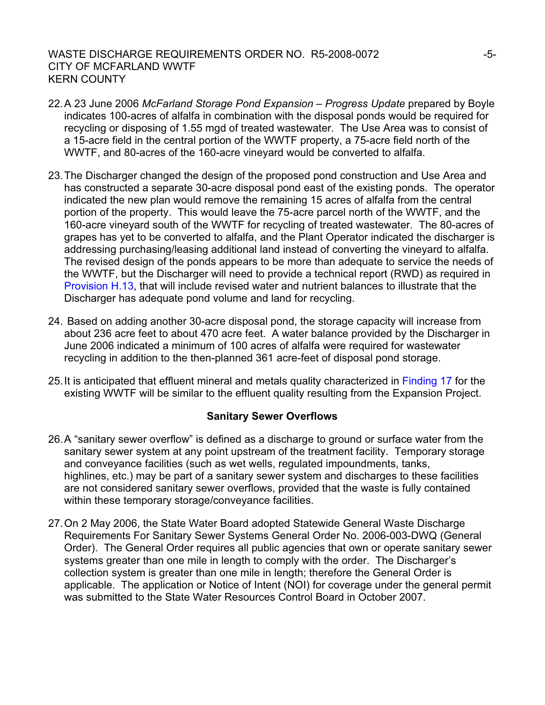### WASTE DISCHARGE REQUIREMENTS ORDER NO. R5-2008-0072  $-5$ -CITY OF MCFARLAND WWTF KERN COUNTY

- 22. A 23 June 2006 *McFarland Storage Pond Expansion Progress Update* prepared by Boyle indicates 100-acres of alfalfa in combination with the disposal ponds would be required for recycling or disposing of 1.55 mgd of treated wastewater. The Use Area was to consist of a 15-acre field in the central portion of the WWTF property, a 75-acre field north of the WWTF, and 80-acres of the 160-acre vineyard would be converted to alfalfa.
- 23. The Discharger changed the design of the proposed pond construction and Use Area and has constructed a separate 30-acre disposal pond east of the existing ponds. The operator indicated the new plan would remove the remaining 15 acres of alfalfa from the central portion of the property. This would leave the 75-acre parcel north of the WWTF, and the 160-acre vineyard south of the WWTF for recycling of treated wastewater. The 80-acres of grapes has yet to be converted to alfalfa, and the Plant Operator indicated the discharger is addressing purchasing/leasing additional land instead of converting the vineyard to alfalfa. The revised design of the ponds appears to be more than adequate to service the needs of the WWTF, but the Discharger will need to provide a technical report (RWD) as required in Provision H.13, that will include revised water and nutrient balances to illustrate that the Discharger has adequate pond volume and land for recycling.
- 24. Based on adding another 30-acre disposal pond, the storage capacity will increase from about 236 acre feet to about 470 acre feet. A water balance provided by the Discharger in June 2006 indicated a minimum of 100 acres of alfalfa were required for wastewater recycling in addition to the then-planned 361 acre-feet of disposal pond storage.
- 25. It is anticipated that effluent mineral and metals quality characterized in Finding 17 for the existing WWTF will be similar to the effluent quality resulting from the Expansion Project.

### **Sanitary Sewer Overflows**

- 26. A "sanitary sewer overflow" is defined as a discharge to ground or surface water from the sanitary sewer system at any point upstream of the treatment facility. Temporary storage and conveyance facilities (such as wet wells, regulated impoundments, tanks, highlines, etc.) may be part of a sanitary sewer system and discharges to these facilities are not considered sanitary sewer overflows, provided that the waste is fully contained within these temporary storage/conveyance facilities.
- 27. On 2 May 2006, the State Water Board adopted Statewide General Waste Discharge Requirements For Sanitary Sewer Systems General Order No. 2006-003-DWQ (General Order). The General Order requires all public agencies that own or operate sanitary sewer systems greater than one mile in length to comply with the order. The Discharger's collection system is greater than one mile in length; therefore the General Order is applicable. The application or Notice of Intent (NOI) for coverage under the general permit was submitted to the State Water Resources Control Board in October 2007.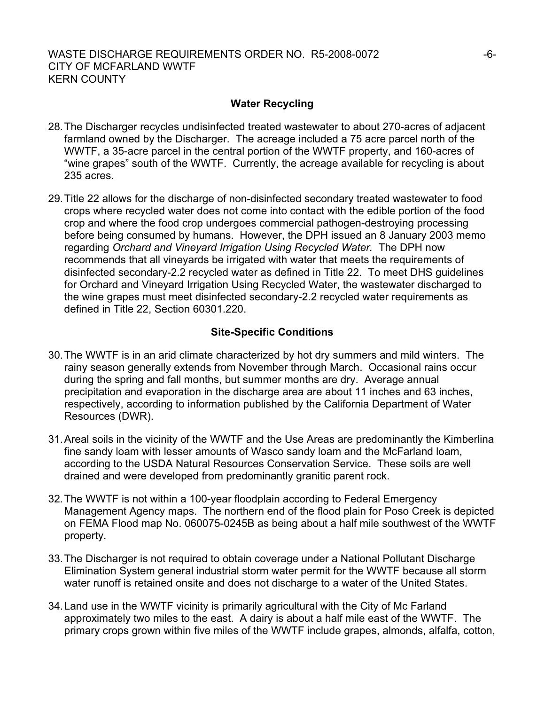### **Water Recycling**

- 28. The Discharger recycles undisinfected treated wastewater to about 270-acres of adjacent farmland owned by the Discharger. The acreage included a 75 acre parcel north of the WWTF, a 35-acre parcel in the central portion of the WWTF property, and 160-acres of "wine grapes" south of the WWTF. Currently, the acreage available for recycling is about 235 acres.
- 29. Title 22 allows for the discharge of non-disinfected secondary treated wastewater to food crops where recycled water does not come into contact with the edible portion of the food crop and where the food crop undergoes commercial pathogen-destroying processing before being consumed by humans. However, the DPH issued an 8 January 2003 memo regarding *Orchard and Vineyard Irrigation Using Recycled Water.* The DPH now recommends that all vineyards be irrigated with water that meets the requirements of disinfected secondary-2.2 recycled water as defined in Title 22. To meet DHS guidelines for Orchard and Vineyard Irrigation Using Recycled Water, the wastewater discharged to the wine grapes must meet disinfected secondary-2.2 recycled water requirements as defined in Title 22, Section 60301.220.

### **Site-Specific Conditions**

- 30. The WWTF is in an arid climate characterized by hot dry summers and mild winters. The rainy season generally extends from November through March. Occasional rains occur during the spring and fall months, but summer months are dry. Average annual precipitation and evaporation in the discharge area are about 11 inches and 63 inches, respectively, according to information published by the California Department of Water Resources (DWR).
- 31. Areal soils in the vicinity of the WWTF and the Use Areas are predominantly the Kimberlina fine sandy loam with lesser amounts of Wasco sandy loam and the McFarland loam, according to the USDA Natural Resources Conservation Service. These soils are well drained and were developed from predominantly granitic parent rock.
- 32. The WWTF is not within a 100-year floodplain according to Federal Emergency Management Agency maps. The northern end of the flood plain for Poso Creek is depicted on FEMA Flood map No. 060075-0245B as being about a half mile southwest of the WWTF property.
- 33. The Discharger is not required to obtain coverage under a National Pollutant Discharge Elimination System general industrial storm water permit for the WWTF because all storm water runoff is retained onsite and does not discharge to a water of the United States.
- 34. Land use in the WWTF vicinity is primarily agricultural with the City of Mc Farland approximately two miles to the east. A dairy is about a half mile east of the WWTF. The primary crops grown within five miles of the WWTF include grapes, almonds, alfalfa, cotton,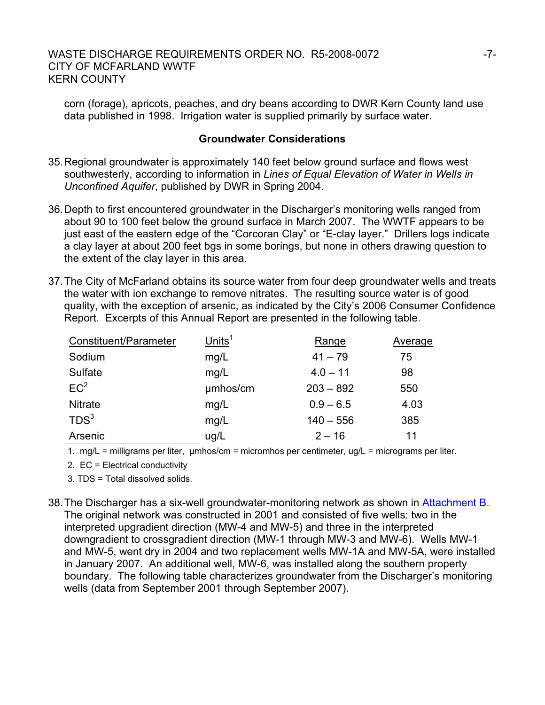corn (forage), apricots, peaches, and dry beans according to DWR Kern County land use data published in 1998. Irrigation water is supplied primarily by surface water.

### **Groundwater Considerations**

- 35. Regional groundwater is approximately 140 feet below ground surface and flows west southwesterly, according to information in *Lines of Equal Elevation of Water in Wells in Unconfined Aquifer*, published by DWR in Spring 2004.
- 36. Depth to first encountered groundwater in the Discharger's monitoring wells ranged from about 90 to 100 feet below the ground surface in March 2007. The WWTF appears to be just east of the eastern edge of the "Corcoran Clay" or "E-clay layer." Drillers logs indicate a clay layer at about 200 feet bgs in some borings, but none in others drawing question to the extent of the clay layer in this area.
- 37. The City of McFarland obtains its source water from four deep groundwater wells and treats the water with ion exchange to remove nitrates. The resulting source water is of good quality, with the exception of arsenic, as indicated by the City's 2006 Consumer Confidence Report. Excerpts of this Annual Report are presented in the following table.

| Constituent/Parameter | $Units^1$ | Range       | Average |
|-----------------------|-----------|-------------|---------|
| Sodium                | mg/L      | $41 - 79$   | 75      |
| Sulfate               | mg/L      | $4.0 - 11$  | 98      |
| EC <sup>2</sup>       | umhos/cm  | $203 - 892$ | 550     |
| <b>Nitrate</b>        | mg/L      | $0.9 - 6.5$ | 4.03    |
| TDS <sup>3</sup>      | mg/L      | $140 - 556$ | 385     |
| Arsenic               | ug/L      | $2 - 16$    | 11      |

1. mg/L = milligrams per liter, µmhos/cm = micromhos per centimeter, ug/L = micrograms per liter.

2. EC = Electrical conductivity

3. TDS = Total dissolved solids.

38. The Discharger has a six-well groundwater-monitoring network as shown in Attachment B. The original network was constructed in 2001 and consisted of five wells: two in the interpreted upgradient direction (MW-4 and MW-5) and three in the interpreted downgradient to crossgradient direction (MW-1 through MW-3 and MW-6). Wells MW-1 and MW-5, went dry in 2004 and two replacement wells MW-1A and MW-5A, were installed in January 2007. An additional well, MW-6, was installed along the southern property boundary. The following table characterizes groundwater from the Discharger's monitoring wells (data from September 2001 through September 2007).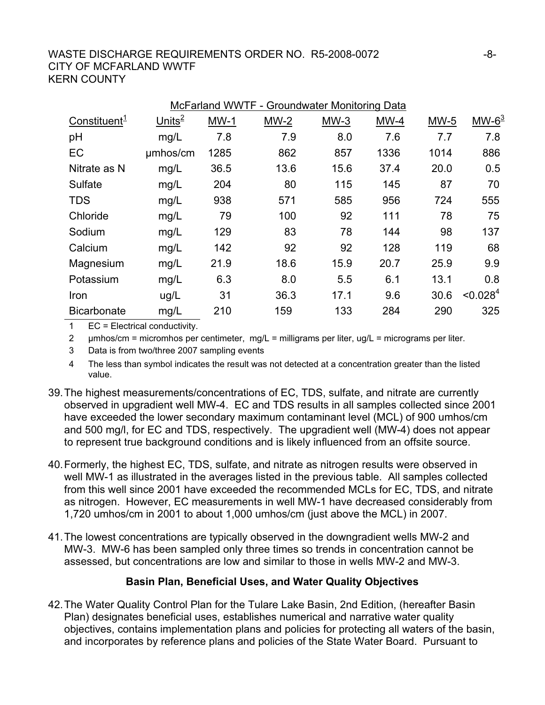### WASTE DISCHARGE REQUIREMENTS ORDER NO. R5-2008-0072  $-8$ -CITY OF MCFARLAND WWTF KERN COUNTY

| McFarland WWTF - Groundwater Monitoring Data |          |        |        |        |        |        |                      |
|----------------------------------------------|----------|--------|--------|--------|--------|--------|----------------------|
| Constituent <sup>1</sup>                     | $Units2$ | $MW-1$ | $MW-2$ | $MW-3$ | $MW-4$ | $MW-5$ | $MW-63$              |
| pH                                           | mg/L     | 7.8    | 7.9    | 8.0    | 7.6    | 7.7    | 7.8                  |
| EC                                           | umhos/cm | 1285   | 862    | 857    | 1336   | 1014   | 886                  |
| Nitrate as N                                 | mg/L     | 36.5   | 13.6   | 15.6   | 37.4   | 20.0   | 0.5                  |
| Sulfate                                      | mg/L     | 204    | 80     | 115    | 145    | 87     | 70                   |
| <b>TDS</b>                                   | mg/L     | 938    | 571    | 585    | 956    | 724    | 555                  |
| Chloride                                     | mg/L     | 79     | 100    | 92     | 111    | 78     | 75                   |
| Sodium                                       | mg/L     | 129    | 83     | 78     | 144    | 98     | 137                  |
| Calcium                                      | mg/L     | 142    | 92     | 92     | 128    | 119    | 68                   |
| Magnesium                                    | mg/L     | 21.9   | 18.6   | 15.9   | 20.7   | 25.9   | 9.9                  |
| Potassium                                    | mg/L     | 6.3    | 8.0    | 5.5    | 6.1    | 13.1   | 0.8                  |
| Iron                                         | ug/L     | 31     | 36.3   | 17.1   | 9.6    | 30.6   | < 0.028 <sup>4</sup> |
| <b>Bicarbonate</b>                           | mg/L     | 210    | 159    | 133    | 284    | 290    | 325                  |

1 EC = Electrical conductivity.

2 µmhos/cm = micromhos per centimeter, mg/L = milligrams per liter, ug/L = micrograms per liter.

3 Data is from two/three 2007 sampling events

4 The less than symbol indicates the result was not detected at a concentration greater than the listed value.

- 39. The highest measurements/concentrations of EC, TDS, sulfate, and nitrate are currently observed in upgradient well MW-4. EC and TDS results in all samples collected since 2001 have exceeded the lower secondary maximum contaminant level (MCL) of 900 umhos/cm and 500 mg/l, for EC and TDS, respectively. The upgradient well (MW-4) does not appear to represent true background conditions and is likely influenced from an offsite source.
- 40. Formerly, the highest EC, TDS, sulfate, and nitrate as nitrogen results were observed in well MW-1 as illustrated in the averages listed in the previous table. All samples collected from this well since 2001 have exceeded the recommended MCLs for EC, TDS, and nitrate as nitrogen. However, EC measurements in well MW-1 have decreased considerably from 1,720 umhos/cm in 2001 to about 1,000 umhos/cm (just above the MCL) in 2007.
- 41. The lowest concentrations are typically observed in the downgradient wells MW-2 and MW-3. MW-6 has been sampled only three times so trends in concentration cannot be assessed, but concentrations are low and similar to those in wells MW-2 and MW-3.

## **Basin Plan, Beneficial Uses, and Water Quality Objectives**

42. The Water Quality Control Plan for the Tulare Lake Basin, 2nd Edition, (hereafter Basin Plan) designates beneficial uses, establishes numerical and narrative water quality objectives, contains implementation plans and policies for protecting all waters of the basin, and incorporates by reference plans and policies of the State Water Board. Pursuant to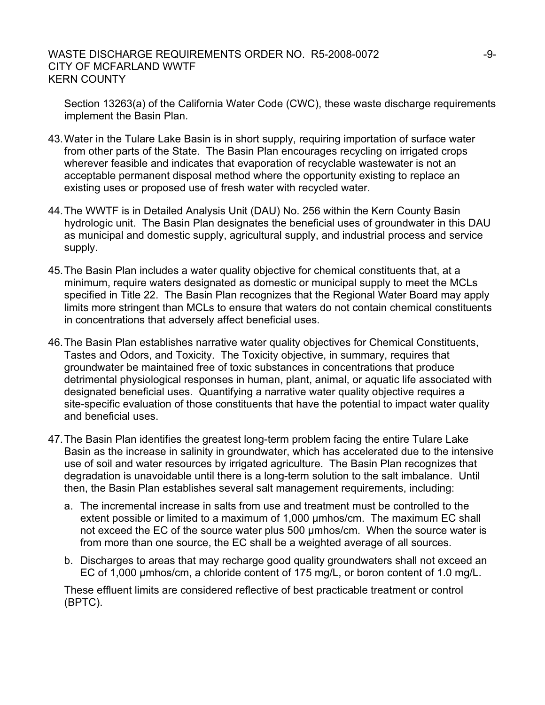### WASTE DISCHARGE REQUIREMENTS ORDER NO. R5-2008-0072  $-9$ -9-CITY OF MCFARLAND WWTF KERN COUNTY

Section 13263(a) of the California Water Code (CWC), these waste discharge requirements implement the Basin Plan.

- 43. Water in the Tulare Lake Basin is in short supply, requiring importation of surface water from other parts of the State. The Basin Plan encourages recycling on irrigated crops wherever feasible and indicates that evaporation of recyclable wastewater is not an acceptable permanent disposal method where the opportunity existing to replace an existing uses or proposed use of fresh water with recycled water.
- 44. The WWTF is in Detailed Analysis Unit (DAU) No. 256 within the Kern County Basin hydrologic unit. The Basin Plan designates the beneficial uses of groundwater in this DAU as municipal and domestic supply, agricultural supply, and industrial process and service supply.
- 45. The Basin Plan includes a water quality objective for chemical constituents that, at a minimum, require waters designated as domestic or municipal supply to meet the MCLs specified in Title 22. The Basin Plan recognizes that the Regional Water Board may apply limits more stringent than MCLs to ensure that waters do not contain chemical constituents in concentrations that adversely affect beneficial uses.
- 46. The Basin Plan establishes narrative water quality objectives for Chemical Constituents, Tastes and Odors, and Toxicity. The Toxicity objective, in summary, requires that groundwater be maintained free of toxic substances in concentrations that produce detrimental physiological responses in human, plant, animal, or aquatic life associated with designated beneficial uses. Quantifying a narrative water quality objective requires a site-specific evaluation of those constituents that have the potential to impact water quality and beneficial uses.
- 47. The Basin Plan identifies the greatest long-term problem facing the entire Tulare Lake Basin as the increase in salinity in groundwater, which has accelerated due to the intensive use of soil and water resources by irrigated agriculture. The Basin Plan recognizes that degradation is unavoidable until there is a long-term solution to the salt imbalance. Until then, the Basin Plan establishes several salt management requirements, including:
	- a. The incremental increase in salts from use and treatment must be controlled to the extent possible or limited to a maximum of 1,000 µmhos/cm. The maximum EC shall not exceed the EC of the source water plus 500 µmhos/cm. When the source water is from more than one source, the EC shall be a weighted average of all sources.
	- b. Discharges to areas that may recharge good quality groundwaters shall not exceed an EC of 1,000 µmhos/cm, a chloride content of 175 mg/L, or boron content of 1.0 mg/L.

These effluent limits are considered reflective of best practicable treatment or control (BPTC).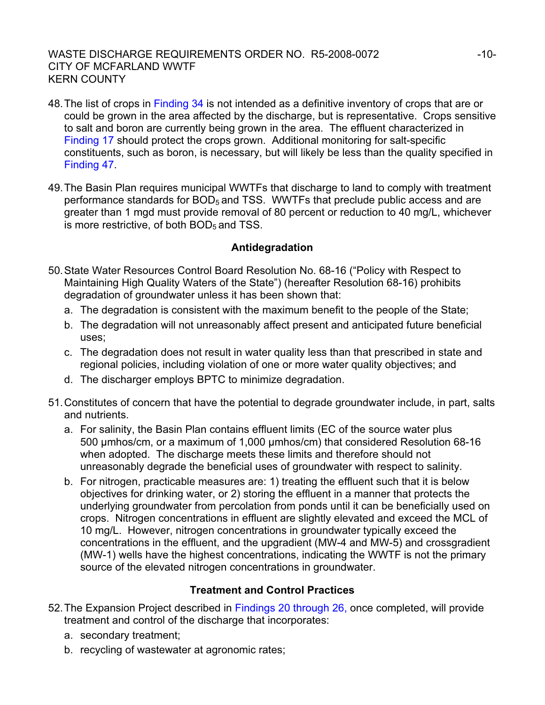### WASTE DISCHARGE REQUIREMENTS ORDER NO. R5-2008-0072 -10-CITY OF MCFARLAND WWTF KERN COUNTY

- 48. The list of crops in Finding 34 is not intended as a definitive inventory of crops that are or could be grown in the area affected by the discharge, but is representative. Crops sensitive to salt and boron are currently being grown in the area. The effluent characterized in Finding 17 should protect the crops grown. Additional monitoring for salt-specific constituents, such as boron, is necessary, but will likely be less than the quality specified in Finding 47.
- 49. The Basin Plan requires municipal WWTFs that discharge to land to comply with treatment performance standards for  $BOD<sub>5</sub>$  and TSS. WWTFs that preclude public access and are greater than 1 mgd must provide removal of 80 percent or reduction to 40 mg/L, whichever is more restrictive, of both  $BOD<sub>5</sub>$  and TSS.

### **Antidegradation**

- 50. State Water Resources Control Board Resolution No. 68-16 ("Policy with Respect to Maintaining High Quality Waters of the State") (hereafter Resolution 68-16) prohibits degradation of groundwater unless it has been shown that:
	- a. The degradation is consistent with the maximum benefit to the people of the State;
	- b. The degradation will not unreasonably affect present and anticipated future beneficial uses;
	- c. The degradation does not result in water quality less than that prescribed in state and regional policies, including violation of one or more water quality objectives; and
	- d. The discharger employs BPTC to minimize degradation.
- 51. Constitutes of concern that have the potential to degrade groundwater include, in part, salts and nutrients.
	- a. For salinity, the Basin Plan contains effluent limits (EC of the source water plus 500 µmhos/cm, or a maximum of 1,000 µmhos/cm) that considered Resolution 68-16 when adopted. The discharge meets these limits and therefore should not unreasonably degrade the beneficial uses of groundwater with respect to salinity.
	- b. For nitrogen, practicable measures are: 1) treating the effluent such that it is below objectives for drinking water, or 2) storing the effluent in a manner that protects the underlying groundwater from percolation from ponds until it can be beneficially used on crops. Nitrogen concentrations in effluent are slightly elevated and exceed the MCL of 10 mg/L. However, nitrogen concentrations in groundwater typically exceed the concentrations in the effluent, and the upgradient (MW-4 and MW-5) and crossgradient (MW-1) wells have the highest concentrations, indicating the WWTF is not the primary source of the elevated nitrogen concentrations in groundwater.

### **Treatment and Control Practices**

- 52. The Expansion Project described in Findings 20 through 26, once completed, will provide treatment and control of the discharge that incorporates:
	- a. secondary treatment;
	- b. recycling of wastewater at agronomic rates;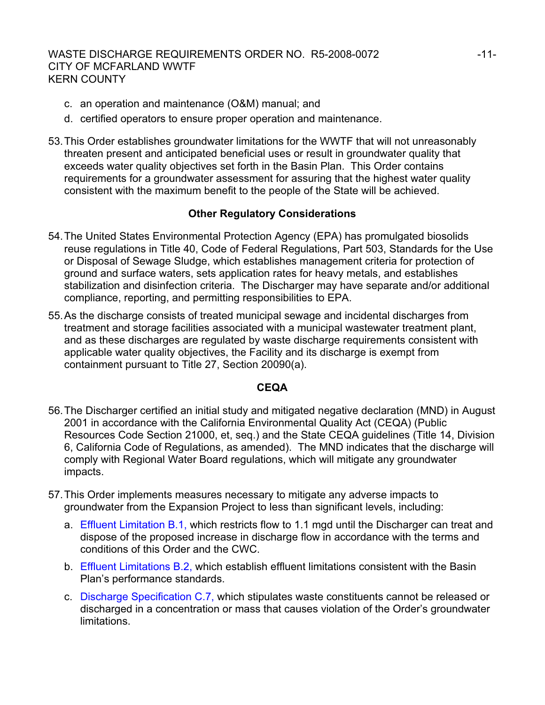- c. an operation and maintenance (O&M) manual; and
- d. certified operators to ensure proper operation and maintenance.
- 53. This Order establishes groundwater limitations for the WWTF that will not unreasonably threaten present and anticipated beneficial uses or result in groundwater quality that exceeds water quality objectives set forth in the Basin Plan. This Order contains requirements for a groundwater assessment for assuring that the highest water quality consistent with the maximum benefit to the people of the State will be achieved.

## **Other Regulatory Considerations**

- 54. The United States Environmental Protection Agency (EPA) has promulgated biosolids reuse regulations in Title 40, Code of Federal Regulations, Part 503, Standards for the Use or Disposal of Sewage Sludge, which establishes management criteria for protection of ground and surface waters, sets application rates for heavy metals, and establishes stabilization and disinfection criteria. The Discharger may have separate and/or additional compliance, reporting, and permitting responsibilities to EPA.
- 55. As the discharge consists of treated municipal sewage and incidental discharges from treatment and storage facilities associated with a municipal wastewater treatment plant, and as these discharges are regulated by waste discharge requirements consistent with applicable water quality objectives, the Facility and its discharge is exempt from containment pursuant to Title 27, Section 20090(a).

### **CEQA**

- 56. The Discharger certified an initial study and mitigated negative declaration (MND) in August 2001 in accordance with the California Environmental Quality Act (CEQA) (Public Resources Code Section 21000, et, seq.) and the State CEQA guidelines (Title 14, Division 6, California Code of Regulations, as amended). The MND indicates that the discharge will comply with Regional Water Board regulations, which will mitigate any groundwater impacts.
- 57. This Order implements measures necessary to mitigate any adverse impacts to groundwater from the Expansion Project to less than significant levels, including:
	- a. Effluent Limitation B.1, which restricts flow to 1.1 mgd until the Discharger can treat and dispose of the proposed increase in discharge flow in accordance with the terms and conditions of this Order and the CWC.
	- b. Effluent Limitations B.2, which establish effluent limitations consistent with the Basin Plan's performance standards.
	- c. Discharge Specification C.7, which stipulates waste constituents cannot be released or discharged in a concentration or mass that causes violation of the Order's groundwater limitations.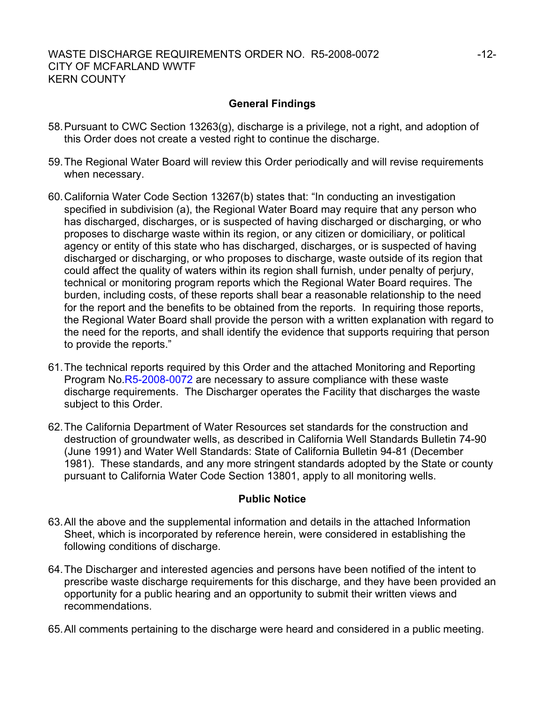### **General Findings**

- 58. Pursuant to CWC Section 13263(g), discharge is a privilege, not a right, and adoption of this Order does not create a vested right to continue the discharge.
- 59. The Regional Water Board will review this Order periodically and will revise requirements when necessary.
- 60. California Water Code Section 13267(b) states that: "In conducting an investigation specified in subdivision (a), the Regional Water Board may require that any person who has discharged, discharges, or is suspected of having discharged or discharging, or who proposes to discharge waste within its region, or any citizen or domiciliary, or political agency or entity of this state who has discharged, discharges, or is suspected of having discharged or discharging, or who proposes to discharge, waste outside of its region that could affect the quality of waters within its region shall furnish, under penalty of perjury, technical or monitoring program reports which the Regional Water Board requires. The burden, including costs, of these reports shall bear a reasonable relationship to the need for the report and the benefits to be obtained from the reports. In requiring those reports, the Regional Water Board shall provide the person with a written explanation with regard to the need for the reports, and shall identify the evidence that supports requiring that person to provide the reports."
- 61. The technical reports required by this Order and the attached Monitoring and Reporting Program No.R5-2008-0072 are necessary to assure compliance with these waste discharge requirements. The Discharger operates the Facility that discharges the waste subject to this Order.
- 62. The California Department of Water Resources set standards for the construction and destruction of groundwater wells, as described in California Well Standards Bulletin 74-90 (June 1991) and Water Well Standards: State of California Bulletin 94-81 (December 1981). These standards, and any more stringent standards adopted by the State or county pursuant to California Water Code Section 13801, apply to all monitoring wells.

### **Public Notice**

- 63. All the above and the supplemental information and details in the attached Information Sheet, which is incorporated by reference herein, were considered in establishing the following conditions of discharge.
- 64. The Discharger and interested agencies and persons have been notified of the intent to prescribe waste discharge requirements for this discharge, and they have been provided an opportunity for a public hearing and an opportunity to submit their written views and recommendations.
- 65. All comments pertaining to the discharge were heard and considered in a public meeting.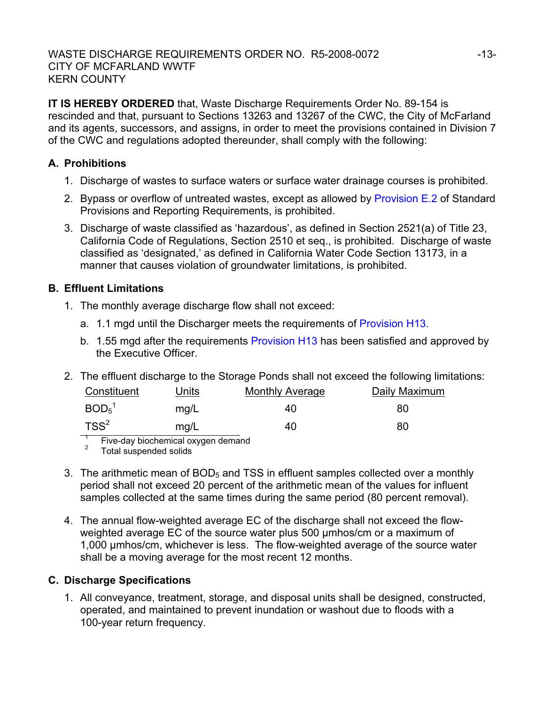**IT IS HEREBY ORDERED** that, Waste Discharge Requirements Order No. 89-154 is rescinded and that, pursuant to Sections 13263 and 13267 of the CWC, the City of McFarland and its agents, successors, and assigns, in order to meet the provisions contained in Division 7 of the CWC and regulations adopted thereunder, shall comply with the following:

## **A. Prohibitions**

- 1. Discharge of wastes to surface waters or surface water drainage courses is prohibited.
- 2. Bypass or overflow of untreated wastes, except as allowed by Provision E.2 of Standard Provisions and Reporting Requirements, is prohibited.
- 3. Discharge of waste classified as 'hazardous', as defined in Section 2521(a) of Title 23, California Code of Regulations, Section 2510 et seq., is prohibited. Discharge of waste classified as 'designated,' as defined in California Water Code Section 13173, in a manner that causes violation of groundwater limitations, is prohibited.

## **B. Effluent Limitations**

- 1. The monthly average discharge flow shall not exceed:
	- a. 1.1 mgd until the Discharger meets the requirements of Provision H13.
	- b. 1.55 mgd after the requirements Provision H13 has been satisfied and approved by the Executive Officer.
- 2. The effluent discharge to the Storage Ponds shall not exceed the following limitations:

| Constituent                   | Units | <b>Monthly Average</b> | Daily Maximum |
|-------------------------------|-------|------------------------|---------------|
| BOD <sub>5</sub> <sup>1</sup> | mg/L  | 40                     | 80            |
| $TSS^2$                       | mg/L  | 40                     | 80            |

1 Five-day biochemical oxygen demand

2 Total suspended solids

- 3. The arithmetic mean of  $BOD<sub>5</sub>$  and TSS in effluent samples collected over a monthly period shall not exceed 20 percent of the arithmetic mean of the values for influent samples collected at the same times during the same period (80 percent removal).
- 4. The annual flow-weighted average EC of the discharge shall not exceed the flowweighted average EC of the source water plus 500 umhos/cm or a maximum of 1,000 µmhos/cm, whichever is less. The flow-weighted average of the source water shall be a moving average for the most recent 12 months.

## **C. Discharge Specifications**

1. All conveyance, treatment, storage, and disposal units shall be designed, constructed, operated, and maintained to prevent inundation or washout due to floods with a 100-year return frequency.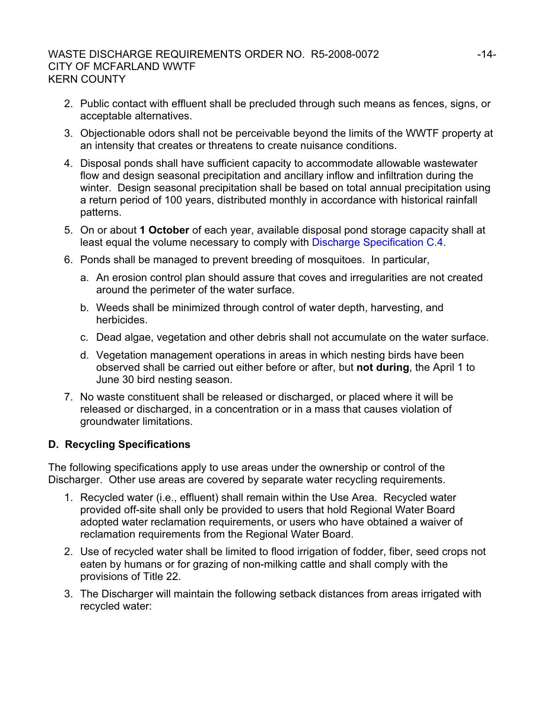### WASTE DISCHARGE REQUIREMENTS ORDER NO. R5-2008-0072 ----------------------------CITY OF MCFARLAND WWTF KERN COUNTY

- 2. Public contact with effluent shall be precluded through such means as fences, signs, or acceptable alternatives.
- 3. Objectionable odors shall not be perceivable beyond the limits of the WWTF property at an intensity that creates or threatens to create nuisance conditions.
- 4. Disposal ponds shall have sufficient capacity to accommodate allowable wastewater flow and design seasonal precipitation and ancillary inflow and infiltration during the winter. Design seasonal precipitation shall be based on total annual precipitation using a return period of 100 years, distributed monthly in accordance with historical rainfall patterns.
- 5. On or about **1 October** of each year, available disposal pond storage capacity shall at least equal the volume necessary to comply with Discharge Specification C.4.
- 6. Ponds shall be managed to prevent breeding of mosquitoes. In particular,
	- a. An erosion control plan should assure that coves and irregularities are not created around the perimeter of the water surface.
	- b. Weeds shall be minimized through control of water depth, harvesting, and herbicides.
	- c. Dead algae, vegetation and other debris shall not accumulate on the water surface.
	- d. Vegetation management operations in areas in which nesting birds have been observed shall be carried out either before or after, but **not during**, the April 1 to June 30 bird nesting season.
- 7. No waste constituent shall be released or discharged, or placed where it will be released or discharged, in a concentration or in a mass that causes violation of groundwater limitations.

## **D. Recycling Specifications**

The following specifications apply to use areas under the ownership or control of the Discharger. Other use areas are covered by separate water recycling requirements.

- 1. Recycled water (i.e., effluent) shall remain within the Use Area. Recycled water provided off-site shall only be provided to users that hold Regional Water Board adopted water reclamation requirements, or users who have obtained a waiver of reclamation requirements from the Regional Water Board.
- 2. Use of recycled water shall be limited to flood irrigation of fodder, fiber, seed crops not eaten by humans or for grazing of non-milking cattle and shall comply with the provisions of Title 22.
- 3. The Discharger will maintain the following setback distances from areas irrigated with recycled water: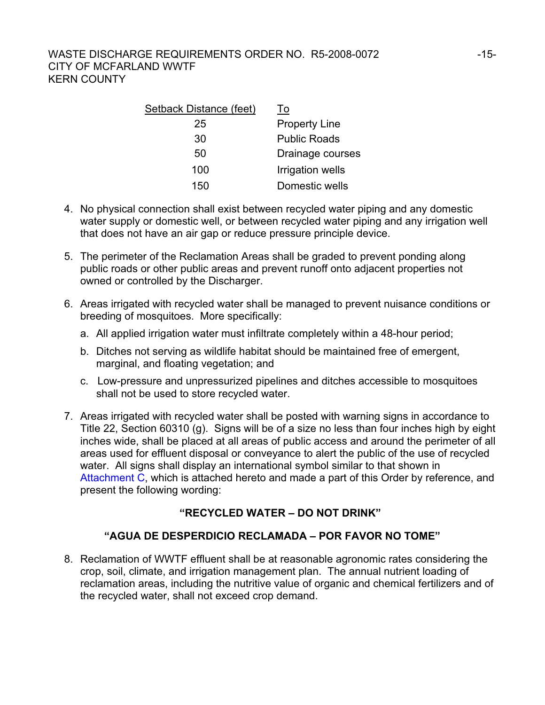| Setback Distance (feet) | To                   |
|-------------------------|----------------------|
| 25                      | <b>Property Line</b> |
| 30                      | <b>Public Roads</b>  |
| 50                      | Drainage courses     |
| 100                     | Irrigation wells     |
| 150                     | Domestic wells       |

- 4. No physical connection shall exist between recycled water piping and any domestic water supply or domestic well, or between recycled water piping and any irrigation well that does not have an air gap or reduce pressure principle device.
- 5. The perimeter of the Reclamation Areas shall be graded to prevent ponding along public roads or other public areas and prevent runoff onto adjacent properties not owned or controlled by the Discharger.
- 6. Areas irrigated with recycled water shall be managed to prevent nuisance conditions or breeding of mosquitoes. More specifically:
	- a. All applied irrigation water must infiltrate completely within a 48-hour period;
	- b. Ditches not serving as wildlife habitat should be maintained free of emergent, marginal, and floating vegetation; and
	- c. Low-pressure and unpressurized pipelines and ditches accessible to mosquitoes shall not be used to store recycled water.
- 7. Areas irrigated with recycled water shall be posted with warning signs in accordance to Title 22, Section 60310 (g). Signs will be of a size no less than four inches high by eight inches wide, shall be placed at all areas of public access and around the perimeter of all areas used for effluent disposal or conveyance to alert the public of the use of recycled water. All signs shall display an international symbol similar to that shown in Attachment C, which is attached hereto and made a part of this Order by reference, and present the following wording:

## **"RECYCLED WATER – DO NOT DRINK"**

## **"AGUA DE DESPERDICIO RECLAMADA – POR FAVOR NO TOME"**

8. Reclamation of WWTF effluent shall be at reasonable agronomic rates considering the crop, soil, climate, and irrigation management plan. The annual nutrient loading of reclamation areas, including the nutritive value of organic and chemical fertilizers and of the recycled water, shall not exceed crop demand.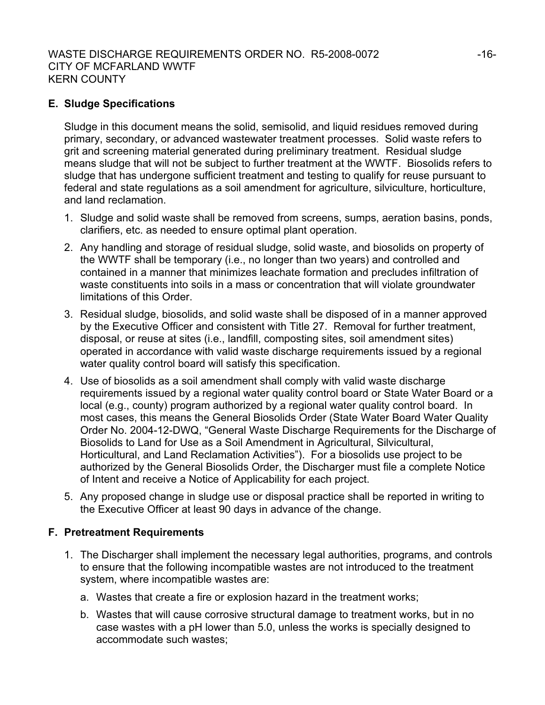### WASTE DISCHARGE REQUIREMENTS ORDER NO. R5-2008-0072 -16-CITY OF MCFARLAND WWTF KERN COUNTY

### **E. Sludge Specifications**

Sludge in this document means the solid, semisolid, and liquid residues removed during primary, secondary, or advanced wastewater treatment processes. Solid waste refers to grit and screening material generated during preliminary treatment. Residual sludge means sludge that will not be subject to further treatment at the WWTF. Biosolids refers to sludge that has undergone sufficient treatment and testing to qualify for reuse pursuant to federal and state regulations as a soil amendment for agriculture, silviculture, horticulture, and land reclamation.

- 1. Sludge and solid waste shall be removed from screens, sumps, aeration basins, ponds, clarifiers, etc. as needed to ensure optimal plant operation.
- 2. Any handling and storage of residual sludge, solid waste, and biosolids on property of the WWTF shall be temporary (i.e., no longer than two years) and controlled and contained in a manner that minimizes leachate formation and precludes infiltration of waste constituents into soils in a mass or concentration that will violate groundwater limitations of this Order.
- 3. Residual sludge, biosolids, and solid waste shall be disposed of in a manner approved by the Executive Officer and consistent with Title 27. Removal for further treatment, disposal, or reuse at sites (i.e., landfill, composting sites, soil amendment sites) operated in accordance with valid waste discharge requirements issued by a regional water quality control board will satisfy this specification.
- 4. Use of biosolids as a soil amendment shall comply with valid waste discharge requirements issued by a regional water quality control board or State Water Board or a local (e.g., county) program authorized by a regional water quality control board. In most cases, this means the General Biosolids Order (State Water Board Water Quality Order No. 2004-12-DWQ, "General Waste Discharge Requirements for the Discharge of Biosolids to Land for Use as a Soil Amendment in Agricultural, Silvicultural, Horticultural, and Land Reclamation Activities"). For a biosolids use project to be authorized by the General Biosolids Order, the Discharger must file a complete Notice of Intent and receive a Notice of Applicability for each project.
- 5. Any proposed change in sludge use or disposal practice shall be reported in writing to the Executive Officer at least 90 days in advance of the change.

#### **F. Pretreatment Requirements**

- 1. The Discharger shall implement the necessary legal authorities, programs, and controls to ensure that the following incompatible wastes are not introduced to the treatment system, where incompatible wastes are:
	- a. Wastes that create a fire or explosion hazard in the treatment works;
	- b. Wastes that will cause corrosive structural damage to treatment works, but in no case wastes with a pH lower than 5.0, unless the works is specially designed to accommodate such wastes;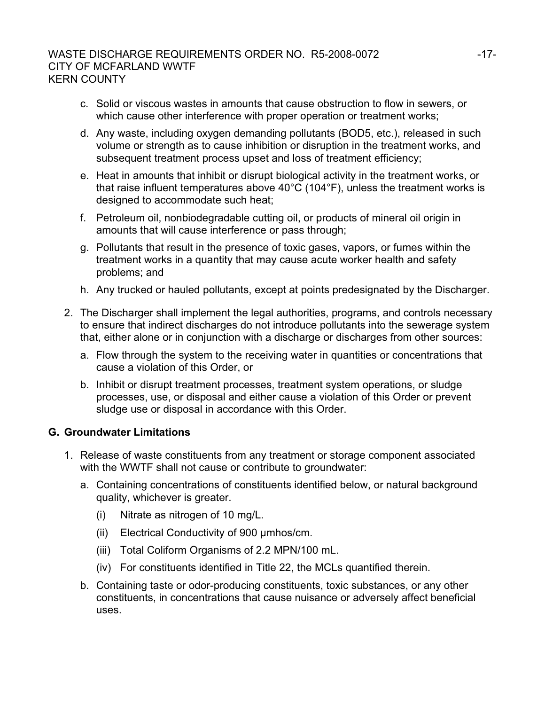### WASTE DISCHARGE REQUIREMENTS ORDER NO. R5-2008-0072 -17-CITY OF MCFARLAND WWTF KERN COUNTY

- c. Solid or viscous wastes in amounts that cause obstruction to flow in sewers, or which cause other interference with proper operation or treatment works;
- d. Any waste, including oxygen demanding pollutants (BOD5, etc.), released in such volume or strength as to cause inhibition or disruption in the treatment works, and subsequent treatment process upset and loss of treatment efficiency;
- e. Heat in amounts that inhibit or disrupt biological activity in the treatment works, or that raise influent temperatures above 40°C (104°F), unless the treatment works is designed to accommodate such heat;
- f. Petroleum oil, nonbiodegradable cutting oil, or products of mineral oil origin in amounts that will cause interference or pass through;
- g. Pollutants that result in the presence of toxic gases, vapors, or fumes within the treatment works in a quantity that may cause acute worker health and safety problems; and
- h. Any trucked or hauled pollutants, except at points predesignated by the Discharger.
- 2. The Discharger shall implement the legal authorities, programs, and controls necessary to ensure that indirect discharges do not introduce pollutants into the sewerage system that, either alone or in conjunction with a discharge or discharges from other sources:
	- a. Flow through the system to the receiving water in quantities or concentrations that cause a violation of this Order, or
	- b. Inhibit or disrupt treatment processes, treatment system operations, or sludge processes, use, or disposal and either cause a violation of this Order or prevent sludge use or disposal in accordance with this Order.

### **G. Groundwater Limitations**

- 1. Release of waste constituents from any treatment or storage component associated with the WWTF shall not cause or contribute to groundwater:
	- a. Containing concentrations of constituents identified below, or natural background quality, whichever is greater.
		- (i) Nitrate as nitrogen of 10 mg/L.
		- (ii) Electrical Conductivity of 900 µmhos/cm.
		- (iii) Total Coliform Organisms of 2.2 MPN/100 mL.
		- (iv) For constituents identified in Title 22, the MCLs quantified therein.
	- b. Containing taste or odor-producing constituents, toxic substances, or any other constituents, in concentrations that cause nuisance or adversely affect beneficial uses.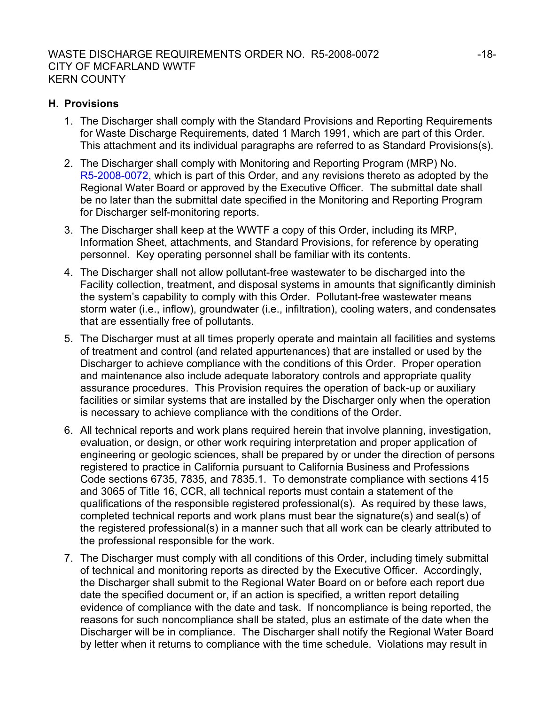### **H. Provisions**

- 1. The Discharger shall comply with the Standard Provisions and Reporting Requirements for Waste Discharge Requirements, dated 1 March 1991, which are part of this Order. This attachment and its individual paragraphs are referred to as Standard Provisions(s).
- 2. The Discharger shall comply with Monitoring and Reporting Program (MRP) No. R5-2008-0072, which is part of this Order, and any revisions thereto as adopted by the Regional Water Board or approved by the Executive Officer. The submittal date shall be no later than the submittal date specified in the Monitoring and Reporting Program for Discharger self-monitoring reports.
- 3. The Discharger shall keep at the WWTF a copy of this Order, including its MRP, Information Sheet, attachments, and Standard Provisions, for reference by operating personnel. Key operating personnel shall be familiar with its contents.
- 4. The Discharger shall not allow pollutant-free wastewater to be discharged into the Facility collection, treatment, and disposal systems in amounts that significantly diminish the system's capability to comply with this Order. Pollutant-free wastewater means storm water (i.e., inflow), groundwater (i.e., infiltration), cooling waters, and condensates that are essentially free of pollutants.
- 5. The Discharger must at all times properly operate and maintain all facilities and systems of treatment and control (and related appurtenances) that are installed or used by the Discharger to achieve compliance with the conditions of this Order. Proper operation and maintenance also include adequate laboratory controls and appropriate quality assurance procedures. This Provision requires the operation of back-up or auxiliary facilities or similar systems that are installed by the Discharger only when the operation is necessary to achieve compliance with the conditions of the Order.
- 6. All technical reports and work plans required herein that involve planning, investigation, evaluation, or design, or other work requiring interpretation and proper application of engineering or geologic sciences, shall be prepared by or under the direction of persons registered to practice in California pursuant to California Business and Professions Code sections 6735, 7835, and 7835.1. To demonstrate compliance with sections 415 and 3065 of Title 16, CCR, all technical reports must contain a statement of the qualifications of the responsible registered professional(s). As required by these laws, completed technical reports and work plans must bear the signature(s) and seal(s) of the registered professional(s) in a manner such that all work can be clearly attributed to the professional responsible for the work.
- 7. The Discharger must comply with all conditions of this Order, including timely submittal of technical and monitoring reports as directed by the Executive Officer. Accordingly, the Discharger shall submit to the Regional Water Board on or before each report due date the specified document or, if an action is specified, a written report detailing evidence of compliance with the date and task. If noncompliance is being reported, the reasons for such noncompliance shall be stated, plus an estimate of the date when the Discharger will be in compliance. The Discharger shall notify the Regional Water Board by letter when it returns to compliance with the time schedule. Violations may result in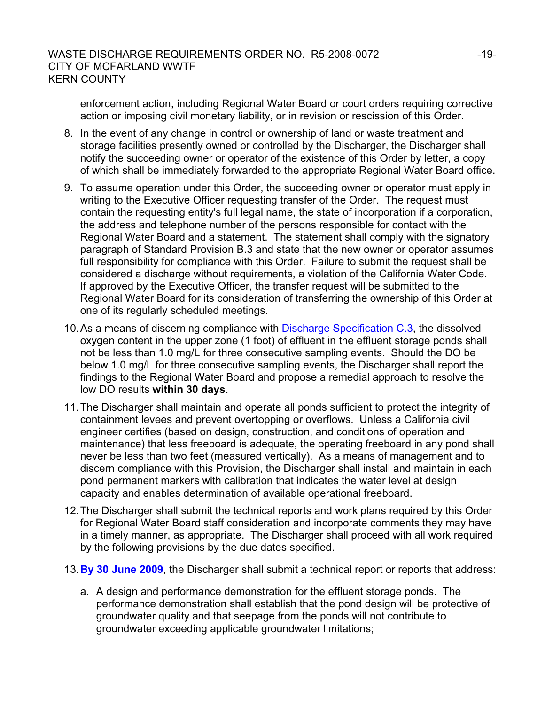enforcement action, including Regional Water Board or court orders requiring corrective action or imposing civil monetary liability, or in revision or rescission of this Order.

- 8. In the event of any change in control or ownership of land or waste treatment and storage facilities presently owned or controlled by the Discharger, the Discharger shall notify the succeeding owner or operator of the existence of this Order by letter, a copy of which shall be immediately forwarded to the appropriate Regional Water Board office.
- 9. To assume operation under this Order, the succeeding owner or operator must apply in writing to the Executive Officer requesting transfer of the Order. The request must contain the requesting entity's full legal name, the state of incorporation if a corporation, the address and telephone number of the persons responsible for contact with the Regional Water Board and a statement. The statement shall comply with the signatory paragraph of Standard Provision B.3 and state that the new owner or operator assumes full responsibility for compliance with this Order. Failure to submit the request shall be considered a discharge without requirements, a violation of the California Water Code. If approved by the Executive Officer, the transfer request will be submitted to the Regional Water Board for its consideration of transferring the ownership of this Order at one of its regularly scheduled meetings.
- 10. As a means of discerning compliance with Discharge Specification C.3, the dissolved oxygen content in the upper zone (1 foot) of effluent in the effluent storage ponds shall not be less than 1.0 mg/L for three consecutive sampling events. Should the DO be below 1.0 mg/L for three consecutive sampling events, the Discharger shall report the findings to the Regional Water Board and propose a remedial approach to resolve the low DO results **within 30 days**.
- 11. The Discharger shall maintain and operate all ponds sufficient to protect the integrity of containment levees and prevent overtopping or overflows. Unless a California civil engineer certifies (based on design, construction, and conditions of operation and maintenance) that less freeboard is adequate, the operating freeboard in any pond shall never be less than two feet (measured vertically). As a means of management and to discern compliance with this Provision, the Discharger shall install and maintain in each pond permanent markers with calibration that indicates the water level at design capacity and enables determination of available operational freeboard.
- 12. The Discharger shall submit the technical reports and work plans required by this Order for Regional Water Board staff consideration and incorporate comments they may have in a timely manner, as appropriate. The Discharger shall proceed with all work required by the following provisions by the due dates specified.
- 13.**By 30 June 2009**, the Discharger shall submit a technical report or reports that address:
	- a. A design and performance demonstration for the effluent storage ponds. The performance demonstration shall establish that the pond design will be protective of groundwater quality and that seepage from the ponds will not contribute to groundwater exceeding applicable groundwater limitations;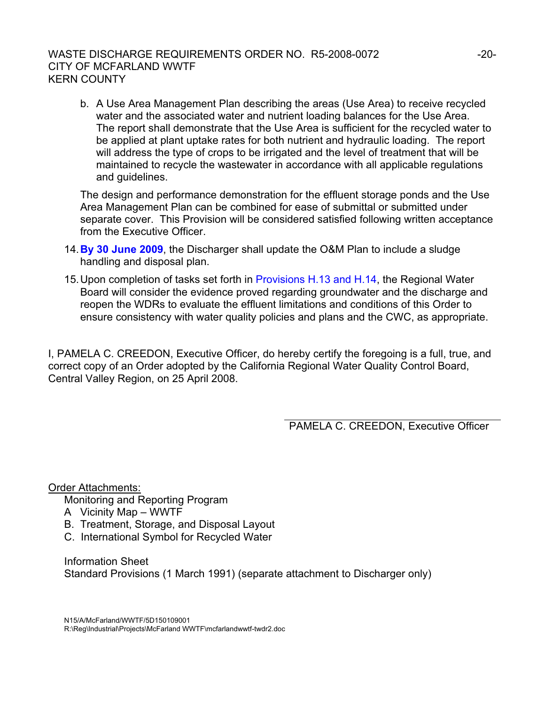### WASTE DISCHARGE REQUIREMENTS ORDER NO. R5-2008-0072  $-20$ -20-CITY OF MCFARLAND WWTF KERN COUNTY

b. A Use Area Management Plan describing the areas (Use Area) to receive recycled water and the associated water and nutrient loading balances for the Use Area. The report shall demonstrate that the Use Area is sufficient for the recycled water to be applied at plant uptake rates for both nutrient and hydraulic loading. The report will address the type of crops to be irrigated and the level of treatment that will be maintained to recycle the wastewater in accordance with all applicable regulations and guidelines.

The design and performance demonstration for the effluent storage ponds and the Use Area Management Plan can be combined for ease of submittal or submitted under separate cover. This Provision will be considered satisfied following written acceptance from the Executive Officer.

- 14.**By 30 June 2009**, the Discharger shall update the O&M Plan to include a sludge handling and disposal plan.
- 15. Upon completion of tasks set forth in Provisions H.13 and H.14, the Regional Water Board will consider the evidence proved regarding groundwater and the discharge and reopen the WDRs to evaluate the effluent limitations and conditions of this Order to ensure consistency with water quality policies and plans and the CWC, as appropriate.

I, PAMELA C. CREEDON, Executive Officer, do hereby certify the foregoing is a full, true, and correct copy of an Order adopted by the California Regional Water Quality Control Board, Central Valley Region, on 25 April 2008.

PAMELA C. CREEDON, Executive Officer

Order Attachments:

Monitoring and Reporting Program

- A Vicinity Map WWTF
- B. Treatment, Storage, and Disposal Layout
- C. International Symbol for Recycled Water

Information Sheet Standard Provisions (1 March 1991) (separate attachment to Discharger only)

N15/A/McFarland/WWTF/5D150109001 R:\Reg\Industrial\Projects\McFarland WWTF\mcfarlandwwtf-twdr2.doc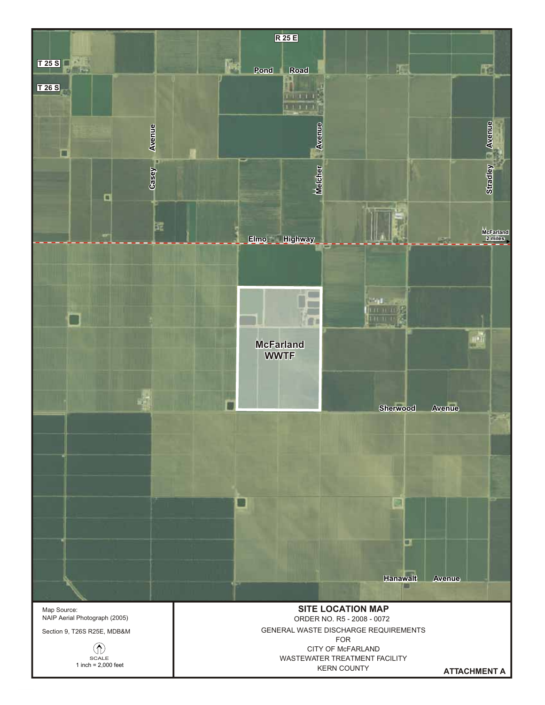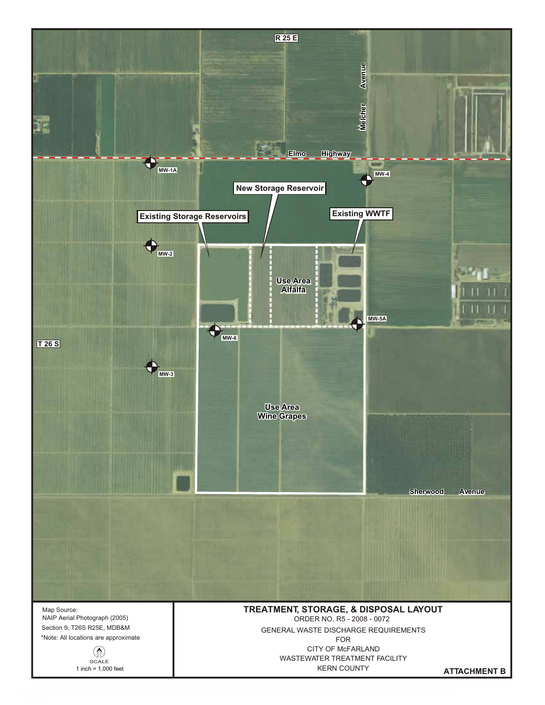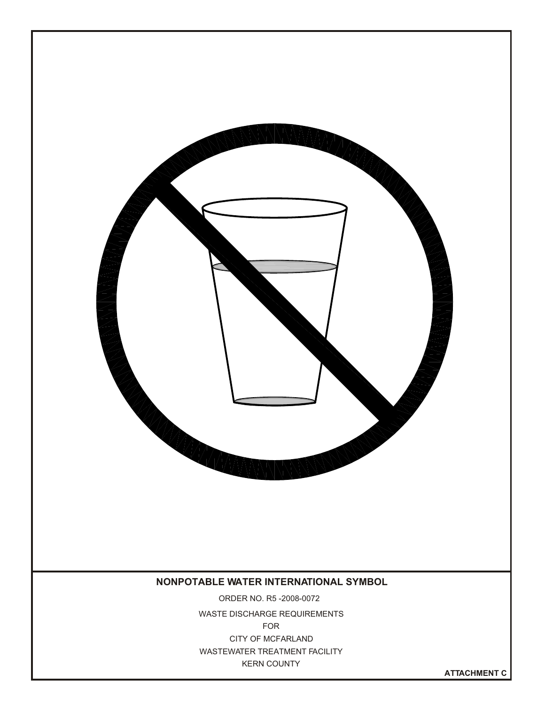

**ATTACHMENT C**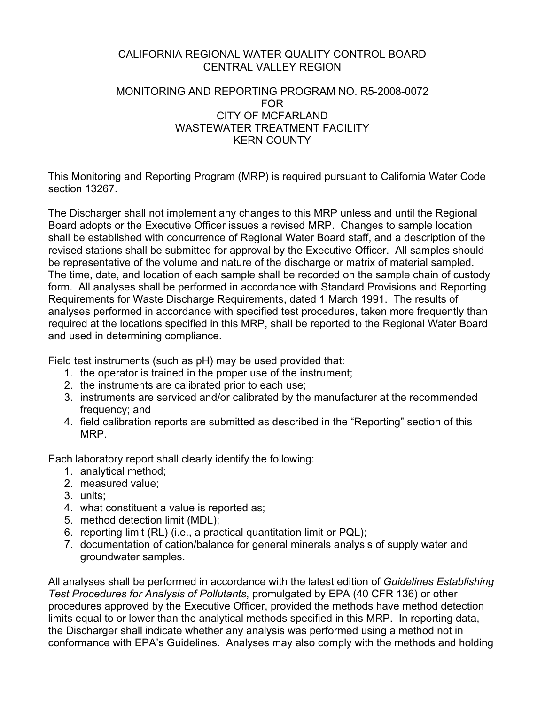### CALIFORNIA REGIONAL WATER QUALITY CONTROL BOARD CENTRAL VALLEY REGION

### MONITORING AND REPORTING PROGRAM NO. R5-2008-0072 FOR CITY OF MCFARLAND WASTEWATER TREATMENT FACILITY KERN COUNTY

This Monitoring and Reporting Program (MRP) is required pursuant to California Water Code section 13267.

The Discharger shall not implement any changes to this MRP unless and until the Regional Board adopts or the Executive Officer issues a revised MRP. Changes to sample location shall be established with concurrence of Regional Water Board staff, and a description of the revised stations shall be submitted for approval by the Executive Officer. All samples should be representative of the volume and nature of the discharge or matrix of material sampled. The time, date, and location of each sample shall be recorded on the sample chain of custody form. All analyses shall be performed in accordance with Standard Provisions and Reporting Requirements for Waste Discharge Requirements, dated 1 March 1991. The results of analyses performed in accordance with specified test procedures, taken more frequently than required at the locations specified in this MRP, shall be reported to the Regional Water Board and used in determining compliance.

Field test instruments (such as pH) may be used provided that:

- 1. the operator is trained in the proper use of the instrument;
- 2. the instruments are calibrated prior to each use;
- 3. instruments are serviced and/or calibrated by the manufacturer at the recommended frequency; and
- 4. field calibration reports are submitted as described in the "Reporting" section of this MRP.

Each laboratory report shall clearly identify the following:

- 1. analytical method;
- 2. measured value;
- 3. units;
- 4. what constituent a value is reported as;
- 5. method detection limit (MDL);
- 6. reporting limit (RL) (i.e., a practical quantitation limit or PQL);
- 7. documentation of cation/balance for general minerals analysis of supply water and groundwater samples.

All analyses shall be performed in accordance with the latest edition of *Guidelines Establishing Test Procedures for Analysis of Pollutants*, promulgated by EPA (40 CFR 136) or other procedures approved by the Executive Officer, provided the methods have method detection limits equal to or lower than the analytical methods specified in this MRP. In reporting data, the Discharger shall indicate whether any analysis was performed using a method not in conformance with EPA's Guidelines. Analyses may also comply with the methods and holding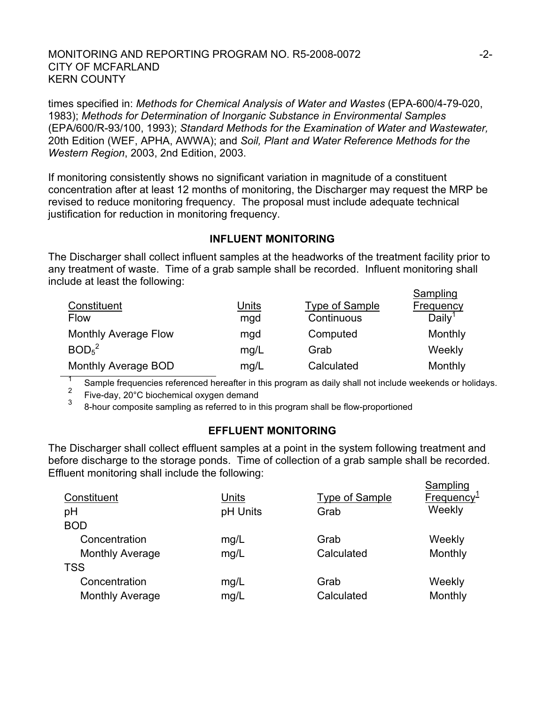### MONITORING AND REPORTING PROGRAM NO. R5-2008-0072  $-2$ -2-CITY OF MCFARLAND KERN COUNTY

times specified in: *Methods for Chemical Analysis of Water and Wastes* (EPA-600/4-79-020, 1983); *Methods for Determination of Inorganic Substance in Environmental Samples* (EPA/600/R-93/100, 1993); *Standard Methods for the Examination of Water and Wastewater,* 20th Edition (WEF, APHA, AWWA); and *Soil, Plant and Water Reference Methods for the Western Region*, 2003, 2nd Edition, 2003.

If monitoring consistently shows no significant variation in magnitude of a constituent concentration after at least 12 months of monitoring, the Discharger may request the MRP be revised to reduce monitoring frequency. The proposal must include adequate technical justification for reduction in monitoring frequency.

### **INFLUENT MONITORING**

The Discharger shall collect influent samples at the headworks of the treatment facility prior to any treatment of waste. Time of a grab sample shall be recorded. Influent monitoring shall include at least the following: **Compling** 

| Constituent<br><b>Flow</b>    | Units<br>mgd | <b>Type of Sample</b><br>Continuous | Sampling<br>Frequency<br>Daily <sup>1</sup> |
|-------------------------------|--------------|-------------------------------------|---------------------------------------------|
| <b>Monthly Average Flow</b>   | mgd          | Computed                            | Monthly                                     |
| BOD <sub>5</sub> <sup>2</sup> | mg/L         | Grab                                | Weekly                                      |
| Monthly Average BOD           | mg/L         | Calculated                          | Monthly                                     |

1 Sample frequencies referenced hereafter in this program as daily shall not include weekends or holidays.

<sup>2</sup> Five-day, 20 $^{\circ}$ C biochemical oxygen demand

<sup>3</sup> 8-hour composite sampling as referred to in this program shall be flow-proportioned

### **EFFLUENT MONITORING**

The Discharger shall collect effluent samples at a point in the system following treatment and before discharge to the storage ponds. Time of collection of a grab sample shall be recorded. Effluent monitoring shall include the following:

| Constituent            | Units    | <b>Type of Sample</b> | Sampling<br>Frequency <sup>1</sup> |
|------------------------|----------|-----------------------|------------------------------------|
| pH                     | pH Units | Grab                  | Weekly                             |
| <b>BOD</b>             |          |                       |                                    |
| Concentration          | mg/L     | Grab                  | Weekly                             |
| <b>Monthly Average</b> | mg/L     | Calculated            | Monthly                            |
| <b>TSS</b>             |          |                       |                                    |
| Concentration          | mg/L     | Grab                  | Weekly                             |
| <b>Monthly Average</b> | mg/L     | Calculated            | Monthly                            |
|                        |          |                       |                                    |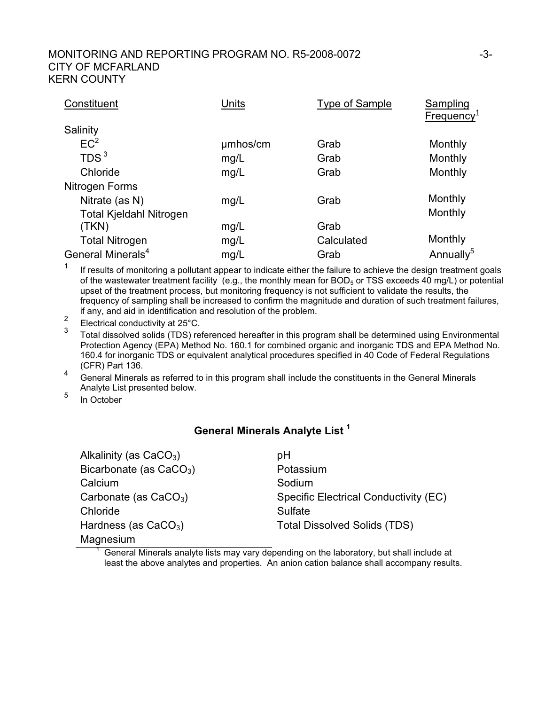#### MONITORING AND REPORTING PROGRAM NO. R5-2008-0072  $-3$ -3-CITY OF MCFARLAND KERN COUNTY

| Constituent                    | Units    | <b>Type of Sample</b> | Sampling<br>Frequency <sup>1</sup> |
|--------------------------------|----------|-----------------------|------------------------------------|
| Salinity                       |          |                       |                                    |
| EC <sup>2</sup>                | umhos/cm | Grab                  | Monthly                            |
| TDS <sup>3</sup>               | mg/L     | Grab                  | Monthly                            |
| Chloride                       | mg/L     | Grab                  | Monthly                            |
| Nitrogen Forms                 |          |                       |                                    |
| Nitrate (as N)                 | mg/L     | Grab                  | Monthly                            |
| <b>Total Kjeldahl Nitrogen</b> |          |                       | Monthly                            |
| (TKN)                          | mg/L     | Grab                  |                                    |
| <b>Total Nitrogen</b>          | mg/L     | Calculated            | Monthly                            |
| General Minerals <sup>4</sup>  | mg/L     | Grab                  | Annually <sup>5</sup>              |

 $1$  If results of monitoring a pollutant appear to indicate either the failure to achieve the design treatment goals of the wastewater treatment facility (e.g., the monthly mean for BOD<sub>5</sub> or TSS exceeds 40 mg/L) or potential upset of the treatment process, but monitoring frequency is not sufficient to validate the results, the frequency of sampling shall be increased to confirm the magnitude and duration of such treatment failures, if any, and aid in identification and resolution of the problem.

<sup>2</sup> Electrical conductivity at 25 $^{\circ}$ C.

<sup>3</sup> Total dissolved solids (TDS) referenced hereafter in this program shall be determined using Environmental Protection Agency (EPA) Method No. 160.1 for combined organic and inorganic TDS and EPA Method No. 160.4 for inorganic TDS or equivalent analytical procedures specified in 40 Code of Federal Regulations (CFR) Part 136.

 $\frac{4}{10}$  General Minerals as referred to in this program shall include the constituents in the General Minerals Analyte List presented below.

 $5 \quad$  In October

1

# **General Minerals Analyte List 1**

| Alkalinity (as $CaCO3$ )  | рH                                    |
|---------------------------|---------------------------------------|
| Bicarbonate (as $CaCO3$ ) | Potassium                             |
| Calcium                   | Sodium                                |
| Carbonate (as $CaCO3$ )   | Specific Electrical Conductivity (EC) |
| Chloride                  | Sulfate                               |
| Hardness (as $CaCO3$ )    | <b>Total Dissolved Solids (TDS)</b>   |
| Magnesium                 |                                       |

 General Minerals analyte lists may vary depending on the laboratory, but shall include at least the above analytes and properties. An anion cation balance shall accompany results.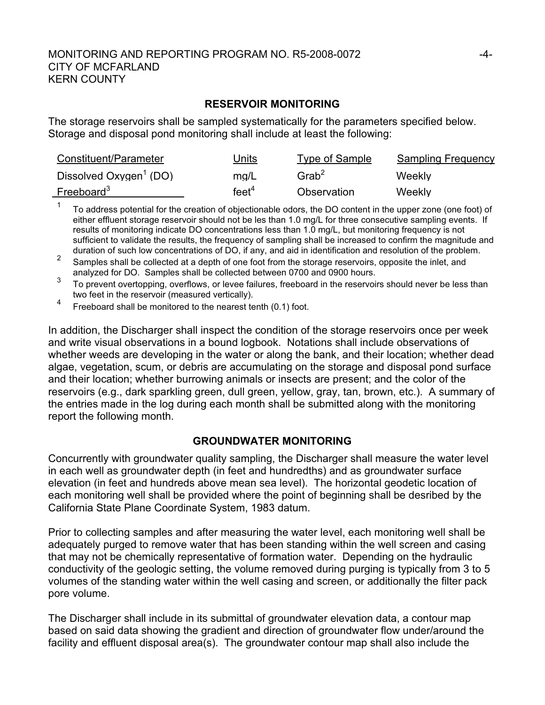### MONITORING AND REPORTING PROGRAM NO. R5-2008-0072  $-4$ -CITY OF MCFARLAND KERN COUNTY

#### **RESERVOIR MONITORING**

The storage reservoirs shall be sampled systematically for the parameters specified below. Storage and disposal pond monitoring shall include at least the following:

| Constituent/Parameter              | Units             | Type of Sample       | <b>Sampling Frequency</b> |
|------------------------------------|-------------------|----------------------|---------------------------|
| Dissolved Oxygen <sup>1</sup> (DO) | mq/L              | $G$ rab <sup>2</sup> | Weekly                    |
| Freeboard <sup>3</sup>             | feet <sup>4</sup> | Observation          | Weekly                    |

 $1$  To address potential for the creation of objectionable odors, the DO content in the upper zone (one foot) of either effluent storage reservoir should not be les than 1.0 mg/L for three consecutive sampling events. If results of monitoring indicate DO concentrations less than 1.0 mg/L, but monitoring frequency is not sufficient to validate the results, the frequency of sampling shall be increased to confirm the magnitude and duration of such low concentrations of DO, if any, and aid in identification and resolution of the problem.

2<br>
<sup>2</sup> Samples shall be collected at a depth of one foot from the storage reservoirs, opposite the inlet, and analyzed for DO. Samples shall be collected between 0700 and 0900 hours.

3 To prevent overtopping, overflows, or levee failures, freeboard in the reservoirs should never be less than two feet in the reservoir (measured vertically).

<sup>4</sup> Freeboard shall be monitored to the nearest tenth (0.1) foot.

In addition, the Discharger shall inspect the condition of the storage reservoirs once per week and write visual observations in a bound logbook. Notations shall include observations of whether weeds are developing in the water or along the bank, and their location; whether dead algae, vegetation, scum, or debris are accumulating on the storage and disposal pond surface and their location; whether burrowing animals or insects are present; and the color of the reservoirs (e.g., dark sparkling green, dull green, yellow, gray, tan, brown, etc.). A summary of the entries made in the log during each month shall be submitted along with the monitoring report the following month.

#### **GROUNDWATER MONITORING**

Concurrently with groundwater quality sampling, the Discharger shall measure the water level in each well as groundwater depth (in feet and hundredths) and as groundwater surface elevation (in feet and hundreds above mean sea level). The horizontal geodetic location of each monitoring well shall be provided where the point of beginning shall be desribed by the California State Plane Coordinate System, 1983 datum.

Prior to collecting samples and after measuring the water level, each monitoring well shall be adequately purged to remove water that has been standing within the well screen and casing that may not be chemically representative of formation water. Depending on the hydraulic conductivity of the geologic setting, the volume removed during purging is typically from 3 to 5 volumes of the standing water within the well casing and screen, or additionally the filter pack pore volume.

The Discharger shall include in its submittal of groundwater elevation data, a contour map based on said data showing the gradient and direction of groundwater flow under/around the facility and effluent disposal area(s). The groundwater contour map shall also include the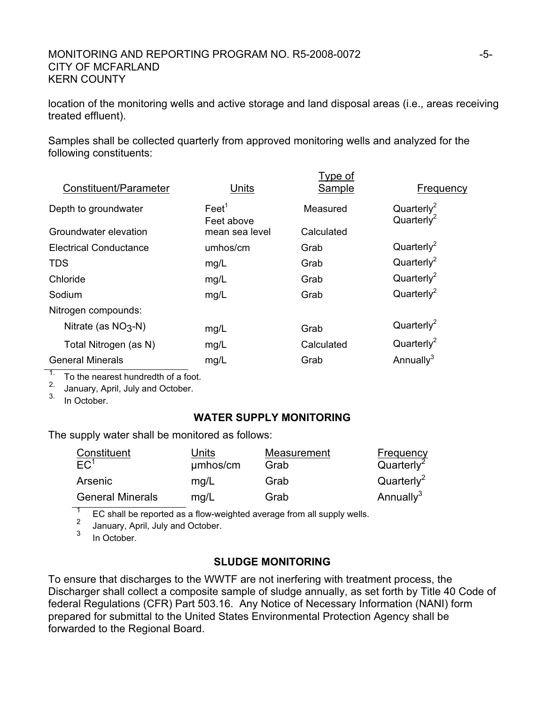### MONITORING AND REPORTING PROGRAM NO. R5-2008-0072  $-5$ -CITY OF MCFARLAND KERN COUNTY

location of the monitoring wells and active storage and land disposal areas (i.e., areas receiving treated effluent).

Samples shall be collected quarterly from approved monitoring wells and analyzed for the following constituents:

|                         |                               | Type of    |                                                  |
|-------------------------|-------------------------------|------------|--------------------------------------------------|
| Constituent/Parameter   | Units                         | Sample     | Frequency                                        |
| Depth to groundwater    | $\text{Fe}et^1$<br>Feet above | Measured   | Quarterly <sup>2</sup><br>Quarterly <sup>2</sup> |
| Groundwater elevation   | mean sea level                | Calculated |                                                  |
| Electrical Conductance  | umhos/cm                      | Grab       | Quarterly <sup>2</sup>                           |
| <b>TDS</b>              | mg/L                          | Grab       | Quarterly <sup>2</sup>                           |
| Chloride                | mg/L                          | Grab       | Quarterly <sup>2</sup>                           |
| Sodium                  | mg/L                          | Grab       | Quarterly <sup>2</sup>                           |
| Nitrogen compounds:     |                               |            |                                                  |
| Nitrate (as $NO3-N$ )   | mg/L                          | Grab       | Quarterly <sup>2</sup>                           |
| Total Nitrogen (as N)   | mg/L                          | Calculated | Quarterly <sup>2</sup>                           |
| <b>General Minerals</b> | mg/L                          | Grab       | Annually $3$                                     |
|                         |                               |            |                                                  |

To the nearest hundredth of a foot.

2. January, April, July and October.

3. In October.

## **WATER SUPPLY MONITORING**

The supply water shall be monitored as follows:

| Constituent<br>EC <sup>1</sup> | Units    | Measurement | <b>Frequency</b><br>Quarter <sup>2</sup> |
|--------------------------------|----------|-------------|------------------------------------------|
|                                | umhos/cm | Grab        |                                          |
| Arsenic                        | mq/L     | Grab        | Quarterly <sup>2</sup>                   |
| <b>General Minerals</b>        | mg/L     | Grab        | Annually <sup>3</sup>                    |

 $\frac{1}{2}$  EC shall be reported as a flow-weighted average from all supply wells.

 $\frac{2}{3}$  January, April, July and October.

In October.

# **SLUDGE MONITORING**

To ensure that discharges to the WWTF are not inerfering with treatment process, the Discharger shall collect a composite sample of sludge annually, as set forth by Title 40 Code of federal Regulations (CFR) Part 503.16. Any Notice of Necessary Information (NANI) form prepared for submittal to the United States Environmental Protection Agency shall be forwarded to the Regional Board.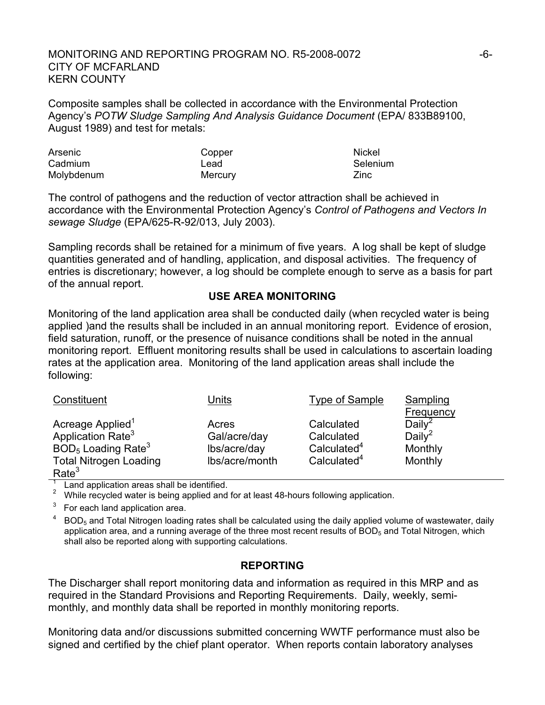#### MONITORING AND REPORTING PROGRAM NO. R5-2008-0072  $-6$ -CITY OF MCFARLAND KERN COUNTY

Composite samples shall be collected in accordance with the Environmental Protection Agency's *POTW Sludge Sampling And Analysis Guidance Document* (EPA/ 833B89100, August 1989) and test for metals:

| Arsenic    | Copper  | Nickel   |
|------------|---------|----------|
| Cadmium    | Lead    | Selenium |
| Molybdenum | Mercury | Zinc     |

The control of pathogens and the reduction of vector attraction shall be achieved in accordance with the Environmental Protection Agency's *Control of Pathogens and Vectors In sewage Sludge* (EPA/625-R-92/013, July 2003).

Sampling records shall be retained for a minimum of five years. A log shall be kept of sludge quantities generated and of handling, application, and disposal activities. The frequency of entries is discretionary; however, a log should be complete enough to serve as a basis for part of the annual report.

#### **USE AREA MONITORING**

Monitoring of the land application area shall be conducted daily (when recycled water is being applied )and the results shall be included in an annual monitoring report. Evidence of erosion, field saturation, runoff, or the presence of nuisance conditions shall be noted in the annual monitoring report. Effluent monitoring results shall be used in calculations to ascertain loading rates at the application area. Monitoring of the land application areas shall include the following:

| Constituent                      | Units          | Type of Sample          | Sampling           |
|----------------------------------|----------------|-------------------------|--------------------|
|                                  |                |                         | Frequency          |
| Acreage Applied <sup>1</sup>     | Acres          | Calculated              | Daily <sup>2</sup> |
| Application Rate <sup>3</sup>    | Gal/acre/day   | Calculated              | Daily <sup>2</sup> |
| $BOD5$ Loading Rate <sup>3</sup> | lbs/acre/day   | Calculated <sup>4</sup> | Monthly            |
| <b>Total Nitrogen Loading</b>    | Ibs/acre/month | Calculated <sup>4</sup> | Monthly            |
| Rate <sup>3</sup>                |                |                         |                    |

Land application areas shall be identified.<br>2 While recycled water is being applied and for at least 48-hours following application.

 $3$  For each land application area.

 $BOD<sub>5</sub>$  and Total Nitrogen loading rates shall be calculated using the daily applied volume of wastewater, daily application area, and a running average of the three most recent results of  $BOD<sub>5</sub>$  and Total Nitrogen, which shall also be reported along with supporting calculations.

### **REPORTING**

The Discharger shall report monitoring data and information as required in this MRP and as required in the Standard Provisions and Reporting Requirements. Daily, weekly, semimonthly, and monthly data shall be reported in monthly monitoring reports.

Monitoring data and/or discussions submitted concerning WWTF performance must also be signed and certified by the chief plant operator. When reports contain laboratory analyses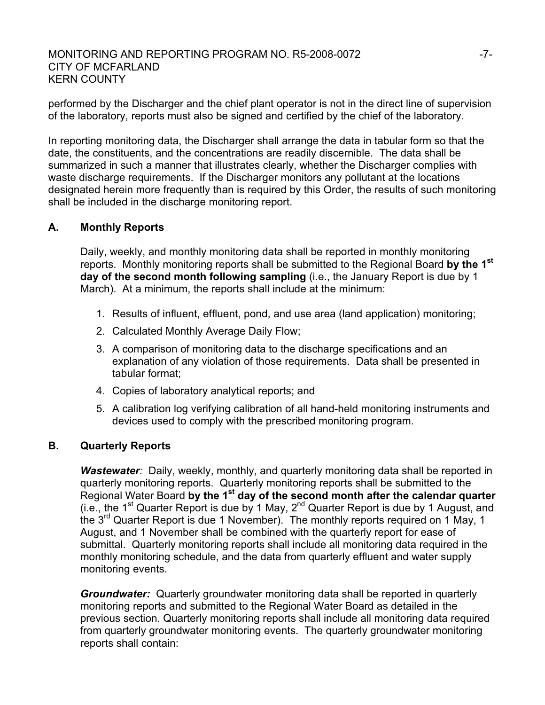### MONITORING AND REPORTING PROGRAM NO. R5-2008-0072 F7-CITY OF MCFARLAND KERN COUNTY

performed by the Discharger and the chief plant operator is not in the direct line of supervision of the laboratory, reports must also be signed and certified by the chief of the laboratory.

In reporting monitoring data, the Discharger shall arrange the data in tabular form so that the date, the constituents, and the concentrations are readily discernible. The data shall be summarized in such a manner that illustrates clearly, whether the Discharger complies with waste discharge requirements. If the Discharger monitors any pollutant at the locations designated herein more frequently than is required by this Order, the results of such monitoring shall be included in the discharge monitoring report.

### **A. Monthly Reports**

Daily, weekly, and monthly monitoring data shall be reported in monthly monitoring reports. Monthly monitoring reports shall be submitted to the Regional Board **by the 1st day of the second month following sampling** (i.e., the January Report is due by 1 March). At a minimum, the reports shall include at the minimum:

- 1. Results of influent, effluent, pond, and use area (land application) monitoring;
- 2. Calculated Monthly Average Daily Flow;
- 3. A comparison of monitoring data to the discharge specifications and an explanation of any violation of those requirements. Data shall be presented in tabular format;
- 4. Copies of laboratory analytical reports; and
- 5. A calibration log verifying calibration of all hand-held monitoring instruments and devices used to comply with the prescribed monitoring program.

### **B. Quarterly Reports**

*Wastewater:* Daily, weekly, monthly, and quarterly monitoring data shall be reported in quarterly monitoring reports. Quarterly monitoring reports shall be submitted to the Regional Water Board **by the 1st day of the second month after the calendar quarter** (i.e., the 1<sup>st</sup> Quarter Report is due by 1 May,  $2^{nd}$  Quarter Report is due by 1 August, and the 3<sup>rd</sup> Quarter Report is due 1 November). The monthly reports required on 1 May, 1 August, and 1 November shall be combined with the quarterly report for ease of submittal. Quarterly monitoring reports shall include all monitoring data required in the monthly monitoring schedule, and the data from quarterly effluent and water supply monitoring events.

*Groundwater:* Quarterly groundwater monitoring data shall be reported in quarterly monitoring reports and submitted to the Regional Water Board as detailed in the previous section. Quarterly monitoring reports shall include all monitoring data required from quarterly groundwater monitoring events. The quarterly groundwater monitoring reports shall contain: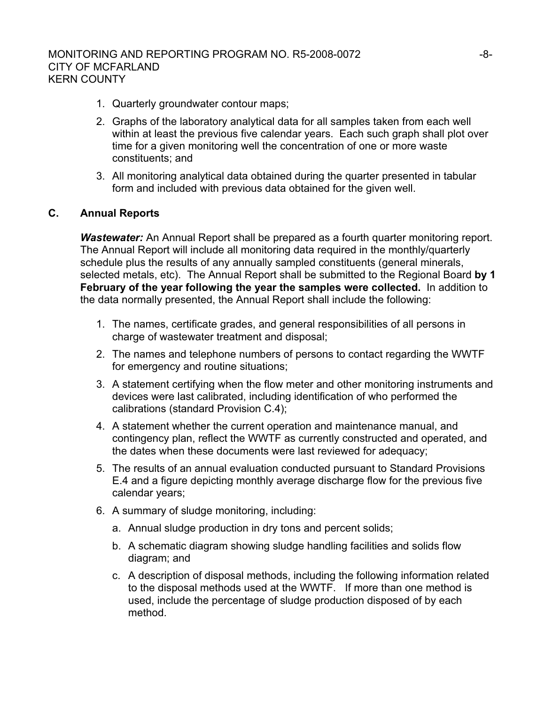- 1. Quarterly groundwater contour maps;
- 2. Graphs of the laboratory analytical data for all samples taken from each well within at least the previous five calendar vears. Each such graph shall plot over time for a given monitoring well the concentration of one or more waste constituents; and
- 3. All monitoring analytical data obtained during the quarter presented in tabular form and included with previous data obtained for the given well.

### **C. Annual Reports**

*Wastewater:* An Annual Report shall be prepared as a fourth quarter monitoring report. The Annual Report will include all monitoring data required in the monthly/quarterly schedule plus the results of any annually sampled constituents (general minerals, selected metals, etc). The Annual Report shall be submitted to the Regional Board **by 1 February of the year following the year the samples were collected.** In addition to the data normally presented, the Annual Report shall include the following:

- 1. The names, certificate grades, and general responsibilities of all persons in charge of wastewater treatment and disposal;
- 2. The names and telephone numbers of persons to contact regarding the WWTF for emergency and routine situations;
- 3. A statement certifying when the flow meter and other monitoring instruments and devices were last calibrated, including identification of who performed the calibrations (standard Provision C.4);
- 4. A statement whether the current operation and maintenance manual, and contingency plan, reflect the WWTF as currently constructed and operated, and the dates when these documents were last reviewed for adequacy;
- 5. The results of an annual evaluation conducted pursuant to Standard Provisions E.4 and a figure depicting monthly average discharge flow for the previous five calendar years;
- 6. A summary of sludge monitoring, including:
	- a. Annual sludge production in dry tons and percent solids;
	- b. A schematic diagram showing sludge handling facilities and solids flow diagram; and
	- c. A description of disposal methods, including the following information related to the disposal methods used at the WWTF. If more than one method is used, include the percentage of sludge production disposed of by each method.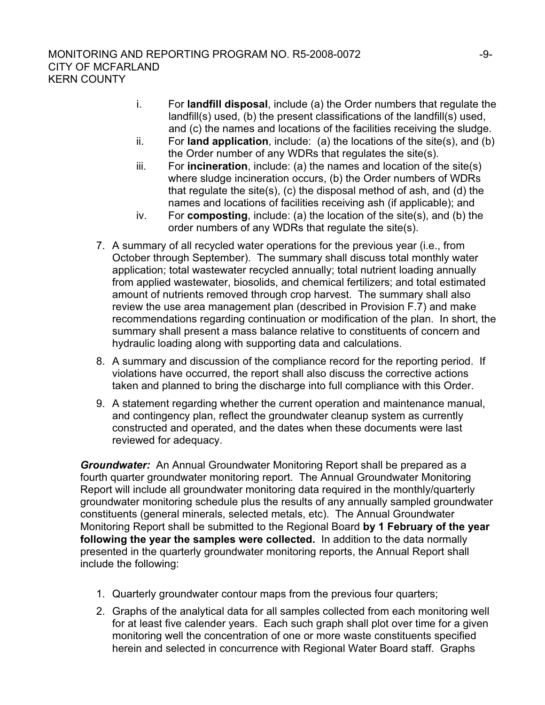- i. For **landfill disposal**, include (a) the Order numbers that regulate the landfill(s) used, (b) the present classifications of the landfill(s) used, and (c) the names and locations of the facilities receiving the sludge.
- ii. For **land application**, include: (a) the locations of the site(s), and (b) the Order number of any WDRs that regulates the site(s).
- iii. For **incineration**, include: (a) the names and location of the site(s) where sludge incineration occurs, (b) the Order numbers of WDRs that regulate the site(s), (c) the disposal method of ash, and (d) the names and locations of facilities receiving ash (if applicable); and
- iv. For **composting**, include: (a) the location of the site(s), and (b) the order numbers of any WDRs that regulate the site(s).
- 7. A summary of all recycled water operations for the previous year (i.e., from October through September). The summary shall discuss total monthly water application; total wastewater recycled annually; total nutrient loading annually from applied wastewater, biosolids, and chemical fertilizers; and total estimated amount of nutrients removed through crop harvest. The summary shall also review the use area management plan (described in Provision F.7) and make recommendations regarding continuation or modification of the plan. In short, the summary shall present a mass balance relative to constituents of concern and hydraulic loading along with supporting data and calculations.
- 8. A summary and discussion of the compliance record for the reporting period. If violations have occurred, the report shall also discuss the corrective actions taken and planned to bring the discharge into full compliance with this Order.
- 9. A statement regarding whether the current operation and maintenance manual, and contingency plan, reflect the groundwater cleanup system as currently constructed and operated, and the dates when these documents were last reviewed for adequacy.

*Groundwater:* An Annual Groundwater Monitoring Report shall be prepared as a fourth quarter groundwater monitoring report. The Annual Groundwater Monitoring Report will include all groundwater monitoring data required in the monthly/quarterly groundwater monitoring schedule plus the results of any annually sampled groundwater constituents (general minerals, selected metals, etc). The Annual Groundwater Monitoring Report shall be submitted to the Regional Board **by 1 February of the year following the year the samples were collected.** In addition to the data normally presented in the quarterly groundwater monitoring reports, the Annual Report shall include the following:

- 1. Quarterly groundwater contour maps from the previous four quarters;
- 2. Graphs of the analytical data for all samples collected from each monitoring well for at least five calender years. Each such graph shall plot over time for a given monitoring well the concentration of one or more waste constituents specified herein and selected in concurrence with Regional Water Board staff. Graphs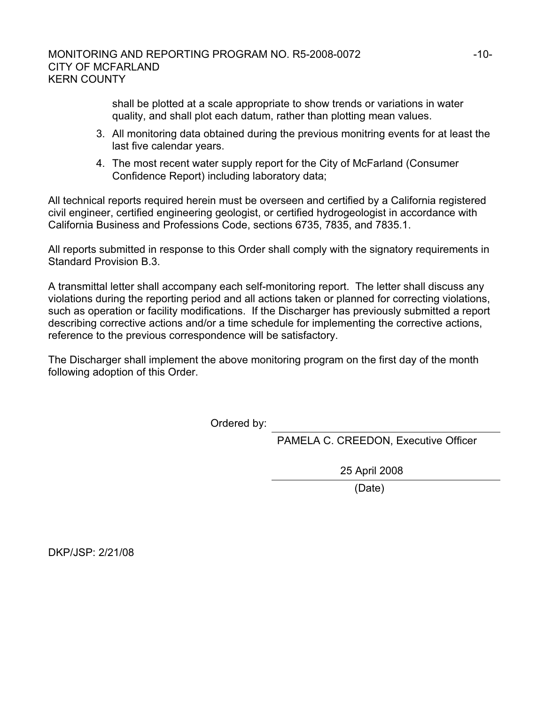shall be plotted at a scale appropriate to show trends or variations in water quality, and shall plot each datum, rather than plotting mean values.

- 3. All monitoring data obtained during the previous monitring events for at least the last five calendar years.
- 4. The most recent water supply report for the City of McFarland (Consumer Confidence Report) including laboratory data;

All technical reports required herein must be overseen and certified by a California registered civil engineer, certified engineering geologist, or certified hydrogeologist in accordance with California Business and Professions Code, sections 6735, 7835, and 7835.1.

All reports submitted in response to this Order shall comply with the signatory requirements in Standard Provision B.3.

A transmittal letter shall accompany each self-monitoring report. The letter shall discuss any violations during the reporting period and all actions taken or planned for correcting violations, such as operation or facility modifications. If the Discharger has previously submitted a report describing corrective actions and/or a time schedule for implementing the corrective actions, reference to the previous correspondence will be satisfactory.

The Discharger shall implement the above monitoring program on the first day of the month following adoption of this Order.

Ordered by:

PAMELA C. CREEDON, Executive Officer

25 April 2008

(Date)

DKP/JSP: 2/21/08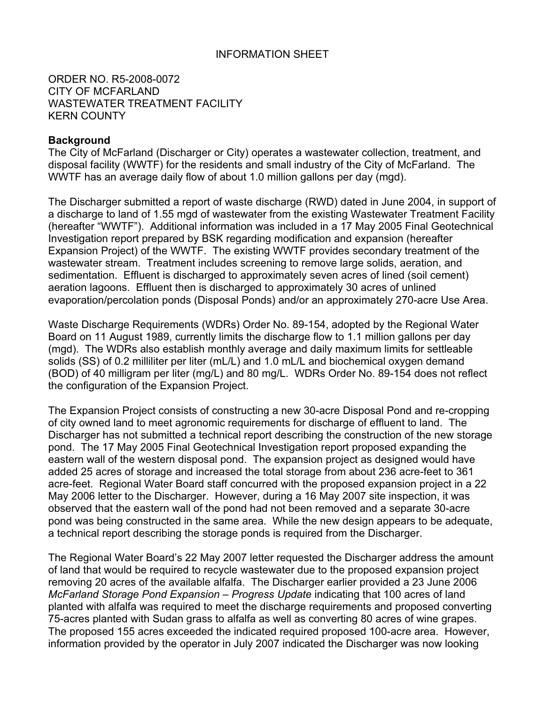### INFORMATION SHEET

ORDER NO. R5-2008-0072 CITY OF MCFARLAND WASTEWATER TREATMENT FACILITY KERN COUNTY

#### **Background**

The City of McFarland (Discharger or City) operates a wastewater collection, treatment, and disposal facility (WWTF) for the residents and small industry of the City of McFarland. The WWTF has an average daily flow of about 1.0 million gallons per day (mgd).

The Discharger submitted a report of waste discharge (RWD) dated in June 2004, in support of a discharge to land of 1.55 mgd of wastewater from the existing Wastewater Treatment Facility (hereafter "WWTF"). Additional information was included in a 17 May 2005 Final Geotechnical Investigation report prepared by BSK regarding modification and expansion (hereafter Expansion Project) of the WWTF. The existing WWTF provides secondary treatment of the wastewater stream. Treatment includes screening to remove large solids, aeration, and sedimentation. Effluent is discharged to approximately seven acres of lined (soil cement) aeration lagoons. Effluent then is discharged to approximately 30 acres of unlined evaporation/percolation ponds (Disposal Ponds) and/or an approximately 270-acre Use Area.

Waste Discharge Requirements (WDRs) Order No. 89-154, adopted by the Regional Water Board on 11 August 1989, currently limits the discharge flow to 1.1 million gallons per day (mgd). The WDRs also establish monthly average and daily maximum limits for settleable solids (SS) of 0.2 milliliter per liter (mL/L) and 1.0 mL/L and biochemical oxygen demand (BOD) of 40 milligram per liter (mg/L) and 80 mg/L. WDRs Order No. 89-154 does not reflect the configuration of the Expansion Project.

The Expansion Project consists of constructing a new 30-acre Disposal Pond and re-cropping of city owned land to meet agronomic requirements for discharge of effluent to land. The Discharger has not submitted a technical report describing the construction of the new storage pond. The 17 May 2005 Final Geotechnical Investigation report proposed expanding the eastern wall of the western disposal pond. The expansion project as designed would have added 25 acres of storage and increased the total storage from about 236 acre-feet to 361 acre-feet. Regional Water Board staff concurred with the proposed expansion project in a 22 May 2006 letter to the Discharger. However, during a 16 May 2007 site inspection, it was observed that the eastern wall of the pond had not been removed and a separate 30-acre pond was being constructed in the same area. While the new design appears to be adequate, a technical report describing the storage ponds is required from the Discharger.

The Regional Water Board's 22 May 2007 letter requested the Discharger address the amount of land that would be required to recycle wastewater due to the proposed expansion project removing 20 acres of the available alfalfa. The Discharger earlier provided a 23 June 2006 *McFarland Storage Pond Expansion – Progress Update* indicating that 100 acres of land planted with alfalfa was required to meet the discharge requirements and proposed converting 75-acres planted with Sudan grass to alfalfa as well as converting 80 acres of wine grapes. The proposed 155 acres exceeded the indicated required proposed 100-acre area. However, information provided by the operator in July 2007 indicated the Discharger was now looking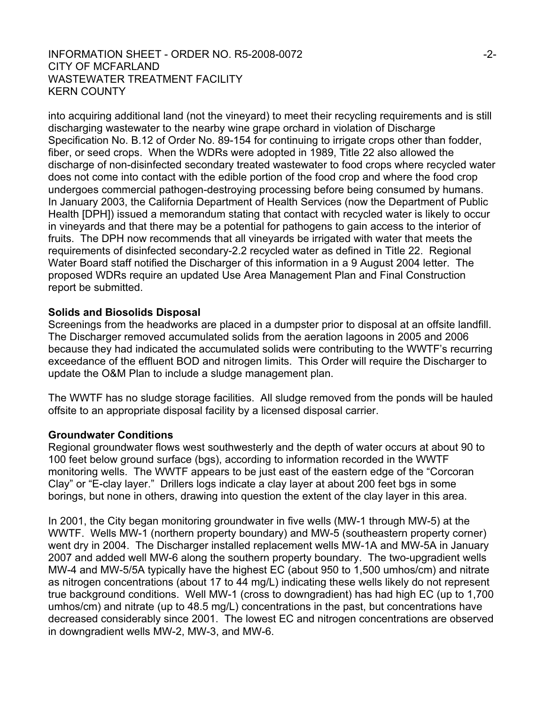#### INFORMATION SHEET - ORDER NO. R5-2008-0072  $-2$ -CITY OF MCFARLAND WASTEWATER TREATMENT FACILITY KERN COUNTY

into acquiring additional land (not the vineyard) to meet their recycling requirements and is still discharging wastewater to the nearby wine grape orchard in violation of Discharge Specification No. B.12 of Order No. 89-154 for continuing to irrigate crops other than fodder, fiber, or seed crops. When the WDRs were adopted in 1989, Title 22 also allowed the discharge of non-disinfected secondary treated wastewater to food crops where recycled water does not come into contact with the edible portion of the food crop and where the food crop undergoes commercial pathogen-destroying processing before being consumed by humans. In January 2003, the California Department of Health Services (now the Department of Public Health [DPH]) issued a memorandum stating that contact with recycled water is likely to occur in vineyards and that there may be a potential for pathogens to gain access to the interior of fruits. The DPH now recommends that all vineyards be irrigated with water that meets the requirements of disinfected secondary-2.2 recycled water as defined in Title 22. Regional Water Board staff notified the Discharger of this information in a 9 August 2004 letter. The proposed WDRs require an updated Use Area Management Plan and Final Construction report be submitted.

### **Solids and Biosolids Disposal**

Screenings from the headworks are placed in a dumpster prior to disposal at an offsite landfill. The Discharger removed accumulated solids from the aeration lagoons in 2005 and 2006 because they had indicated the accumulated solids were contributing to the WWTF's recurring exceedance of the effluent BOD and nitrogen limits. This Order will require the Discharger to update the O&M Plan to include a sludge management plan.

The WWTF has no sludge storage facilities. All sludge removed from the ponds will be hauled offsite to an appropriate disposal facility by a licensed disposal carrier.

#### **Groundwater Conditions**

Regional groundwater flows west southwesterly and the depth of water occurs at about 90 to 100 feet below ground surface (bgs), according to information recorded in the WWTF monitoring wells. The WWTF appears to be just east of the eastern edge of the "Corcoran Clay" or "E-clay layer." Drillers logs indicate a clay layer at about 200 feet bgs in some borings, but none in others, drawing into question the extent of the clay layer in this area.

In 2001, the City began monitoring groundwater in five wells (MW-1 through MW-5) at the WWTF. Wells MW-1 (northern property boundary) and MW-5 (southeastern property corner) went dry in 2004. The Discharger installed replacement wells MW-1A and MW-5A in January 2007 and added well MW-6 along the southern property boundary. The two-upgradient wells MW-4 and MW-5/5A typically have the highest EC (about 950 to 1,500 umhos/cm) and nitrate as nitrogen concentrations (about 17 to 44 mg/L) indicating these wells likely do not represent true background conditions. Well MW-1 (cross to downgradient) has had high EC (up to 1,700 umhos/cm) and nitrate (up to 48.5 mg/L) concentrations in the past, but concentrations have decreased considerably since 2001. The lowest EC and nitrogen concentrations are observed in downgradient wells MW-2, MW-3, and MW-6.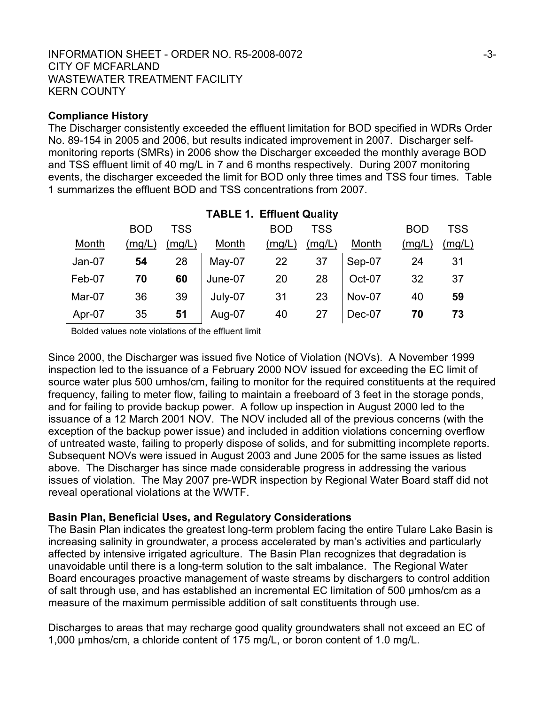#### INFORMATION SHEET - ORDER NO. R5-2008-0072  $-3$ -3-CITY OF MCFARLAND WASTEWATER TREATMENT FACILITY KERN COUNTY

### **Compliance History**

The Discharger consistently exceeded the effluent limitation for BOD specified in WDRs Order No. 89-154 in 2005 and 2006, but results indicated improvement in 2007. Discharger selfmonitoring reports (SMRs) in 2006 show the Discharger exceeded the monthly average BOD and TSS effluent limit of 40 mg/L in 7 and 6 months respectively. During 2007 monitoring events, the discharger exceeded the limit for BOD only three times and TSS four times. Table 1 summarizes the effluent BOD and TSS concentrations from 2007.

|        | <b>BOD</b> | <b>TSS</b> |                   | <b>BOD</b> | <b>TSS</b> |                | <b>BOD</b>     | <b>TSS</b> |
|--------|------------|------------|-------------------|------------|------------|----------------|----------------|------------|
| Month  | (mg/L)     | (mg/L)     | <b>Month</b>      | (mg/L)     | (mg/L)     | <b>Month</b>   | (mg/L)         | (mg/L)     |
| Jan-07 | 54         |            | 28   May-07 22 37 |            |            | $\vert$ Sep-07 | $\frac{1}{24}$ | 31         |
| Feb-07 | 70         | 60         | June-07           | 20         | 28         | Oct-07         | 32             | 37         |
| Mar-07 | 36         | 39         | July-07           | 31         | 23         | Nov-07         | 40             | 59         |
| Apr-07 | 35         | 51         | Aug-07            | 40         | 27         | Dec-07         | 70             | 73         |

### **TABLE 1. Effluent Quality**

Bolded values note violations of the effluent limit

Since 2000, the Discharger was issued five Notice of Violation (NOVs). A November 1999 inspection led to the issuance of a February 2000 NOV issued for exceeding the EC limit of source water plus 500 umhos/cm, failing to monitor for the required constituents at the required frequency, failing to meter flow, failing to maintain a freeboard of 3 feet in the storage ponds, and for failing to provide backup power. A follow up inspection in August 2000 led to the issuance of a 12 March 2001 NOV. The NOV included all of the previous concerns (with the exception of the backup power issue) and included in addition violations concerning overflow of untreated waste, failing to properly dispose of solids, and for submitting incomplete reports. Subsequent NOVs were issued in August 2003 and June 2005 for the same issues as listed above. The Discharger has since made considerable progress in addressing the various issues of violation. The May 2007 pre-WDR inspection by Regional Water Board staff did not reveal operational violations at the WWTF.

### **Basin Plan, Beneficial Uses, and Regulatory Considerations**

The Basin Plan indicates the greatest long-term problem facing the entire Tulare Lake Basin is increasing salinity in groundwater, a process accelerated by man's activities and particularly affected by intensive irrigated agriculture. The Basin Plan recognizes that degradation is unavoidable until there is a long-term solution to the salt imbalance. The Regional Water Board encourages proactive management of waste streams by dischargers to control addition of salt through use, and has established an incremental EC limitation of 500 µmhos/cm as a measure of the maximum permissible addition of salt constituents through use.

Discharges to areas that may recharge good quality groundwaters shall not exceed an EC of 1,000 µmhos/cm, a chloride content of 175 mg/L, or boron content of 1.0 mg/L.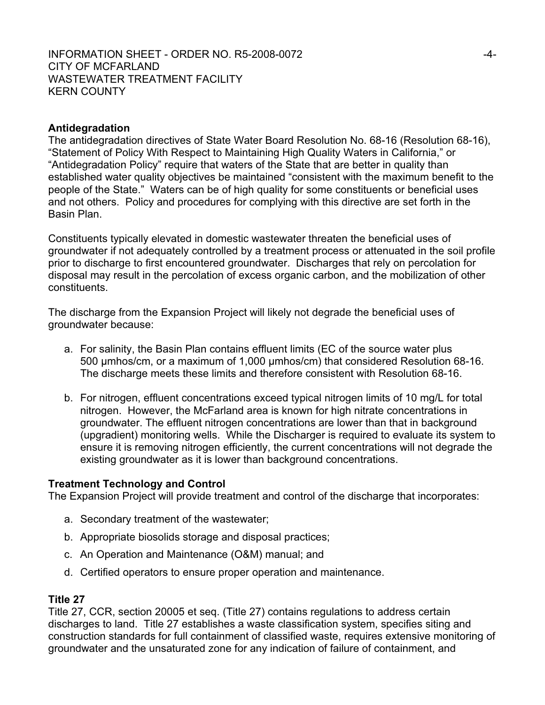### **Antidegradation**

The antidegradation directives of State Water Board Resolution No. 68-16 (Resolution 68-16), "Statement of Policy With Respect to Maintaining High Quality Waters in California," or "Antidegradation Policy" require that waters of the State that are better in quality than established water quality objectives be maintained "consistent with the maximum benefit to the people of the State." Waters can be of high quality for some constituents or beneficial uses and not others. Policy and procedures for complying with this directive are set forth in the Basin Plan.

Constituents typically elevated in domestic wastewater threaten the beneficial uses of groundwater if not adequately controlled by a treatment process or attenuated in the soil profile prior to discharge to first encountered groundwater. Discharges that rely on percolation for disposal may result in the percolation of excess organic carbon, and the mobilization of other constituents.

The discharge from the Expansion Project will likely not degrade the beneficial uses of groundwater because:

- a. For salinity, the Basin Plan contains effluent limits (EC of the source water plus 500 µmhos/cm, or a maximum of 1,000 µmhos/cm) that considered Resolution 68-16. The discharge meets these limits and therefore consistent with Resolution 68-16.
- b. For nitrogen, effluent concentrations exceed typical nitrogen limits of 10 mg/L for total nitrogen. However, the McFarland area is known for high nitrate concentrations in groundwater. The effluent nitrogen concentrations are lower than that in background (upgradient) monitoring wells. While the Discharger is required to evaluate its system to ensure it is removing nitrogen efficiently, the current concentrations will not degrade the existing groundwater as it is lower than background concentrations.

### **Treatment Technology and Control**

The Expansion Project will provide treatment and control of the discharge that incorporates:

- a. Secondary treatment of the wastewater;
- b. Appropriate biosolids storage and disposal practices;
- c. An Operation and Maintenance (O&M) manual; and
- d. Certified operators to ensure proper operation and maintenance.

### **Title 27**

Title 27, CCR, section 20005 et seq. (Title 27) contains regulations to address certain discharges to land. Title 27 establishes a waste classification system, specifies siting and construction standards for full containment of classified waste, requires extensive monitoring of groundwater and the unsaturated zone for any indication of failure of containment, and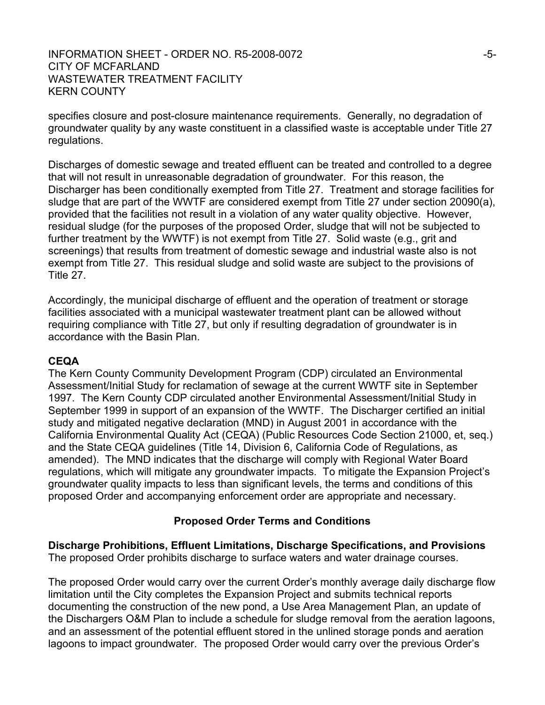### INFORMATION SHEET - ORDER NO. R5-2008-0072 -5-CITY OF MCFARLAND WASTEWATER TREATMENT FACILITY KERN COUNTY

specifies closure and post-closure maintenance requirements. Generally, no degradation of groundwater quality by any waste constituent in a classified waste is acceptable under Title 27 regulations.

Discharges of domestic sewage and treated effluent can be treated and controlled to a degree that will not result in unreasonable degradation of groundwater. For this reason, the Discharger has been conditionally exempted from Title 27. Treatment and storage facilities for sludge that are part of the WWTF are considered exempt from Title 27 under section 20090(a), provided that the facilities not result in a violation of any water quality objective. However, residual sludge (for the purposes of the proposed Order, sludge that will not be subjected to further treatment by the WWTF) is not exempt from Title 27. Solid waste (e.g., grit and screenings) that results from treatment of domestic sewage and industrial waste also is not exempt from Title 27. This residual sludge and solid waste are subject to the provisions of Title 27.

Accordingly, the municipal discharge of effluent and the operation of treatment or storage facilities associated with a municipal wastewater treatment plant can be allowed without requiring compliance with Title 27, but only if resulting degradation of groundwater is in accordance with the Basin Plan.

#### **CEQA**

The Kern County Community Development Program (CDP) circulated an Environmental Assessment/Initial Study for reclamation of sewage at the current WWTF site in September 1997. The Kern County CDP circulated another Environmental Assessment/Initial Study in September 1999 in support of an expansion of the WWTF. The Discharger certified an initial study and mitigated negative declaration (MND) in August 2001 in accordance with the California Environmental Quality Act (CEQA) (Public Resources Code Section 21000, et, seq.) and the State CEQA guidelines (Title 14, Division 6, California Code of Regulations, as amended). The MND indicates that the discharge will comply with Regional Water Board regulations, which will mitigate any groundwater impacts. To mitigate the Expansion Project's groundwater quality impacts to less than significant levels, the terms and conditions of this proposed Order and accompanying enforcement order are appropriate and necessary.

### **Proposed Order Terms and Conditions**

**Discharge Prohibitions, Effluent Limitations, Discharge Specifications, and Provisions**  The proposed Order prohibits discharge to surface waters and water drainage courses.

The proposed Order would carry over the current Order's monthly average daily discharge flow limitation until the City completes the Expansion Project and submits technical reports documenting the construction of the new pond, a Use Area Management Plan, an update of the Dischargers O&M Plan to include a schedule for sludge removal from the aeration lagoons, and an assessment of the potential effluent stored in the unlined storage ponds and aeration lagoons to impact groundwater. The proposed Order would carry over the previous Order's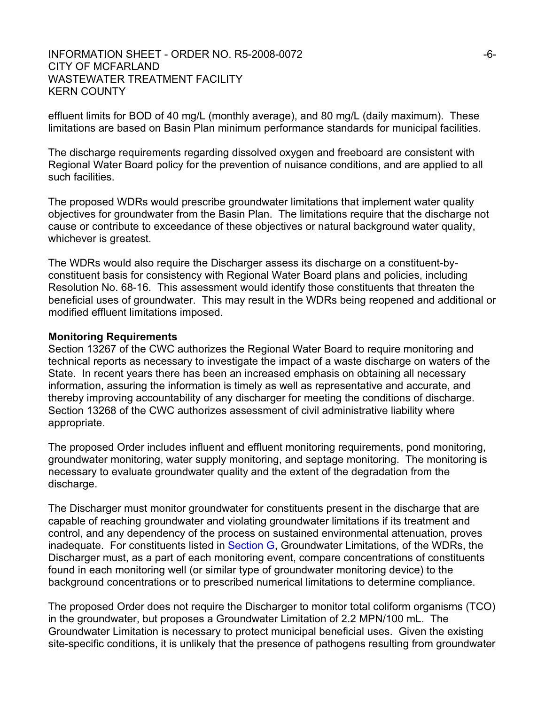#### INFORMATION SHEET - ORDER NO. R5-2008-0072  $-6$ -CITY OF MCFARLAND WASTEWATER TREATMENT FACILITY KERN COUNTY

effluent limits for BOD of 40 mg/L (monthly average), and 80 mg/L (daily maximum). These limitations are based on Basin Plan minimum performance standards for municipal facilities.

The discharge requirements regarding dissolved oxygen and freeboard are consistent with Regional Water Board policy for the prevention of nuisance conditions, and are applied to all such facilities.

The proposed WDRs would prescribe groundwater limitations that implement water quality objectives for groundwater from the Basin Plan. The limitations require that the discharge not cause or contribute to exceedance of these objectives or natural background water quality, whichever is greatest.

The WDRs would also require the Discharger assess its discharge on a constituent-byconstituent basis for consistency with Regional Water Board plans and policies, including Resolution No. 68-16. This assessment would identify those constituents that threaten the beneficial uses of groundwater. This may result in the WDRs being reopened and additional or modified effluent limitations imposed.

#### **Monitoring Requirements**

Section 13267 of the CWC authorizes the Regional Water Board to require monitoring and technical reports as necessary to investigate the impact of a waste discharge on waters of the State. In recent years there has been an increased emphasis on obtaining all necessary information, assuring the information is timely as well as representative and accurate, and thereby improving accountability of any discharger for meeting the conditions of discharge. Section 13268 of the CWC authorizes assessment of civil administrative liability where appropriate.

The proposed Order includes influent and effluent monitoring requirements, pond monitoring, groundwater monitoring, water supply monitoring, and septage monitoring. The monitoring is necessary to evaluate groundwater quality and the extent of the degradation from the discharge.

The Discharger must monitor groundwater for constituents present in the discharge that are capable of reaching groundwater and violating groundwater limitations if its treatment and control, and any dependency of the process on sustained environmental attenuation, proves inadequate. For constituents listed in Section G, Groundwater Limitations, of the WDRs, the Discharger must, as a part of each monitoring event, compare concentrations of constituents found in each monitoring well (or similar type of groundwater monitoring device) to the background concentrations or to prescribed numerical limitations to determine compliance.

The proposed Order does not require the Discharger to monitor total coliform organisms (TCO) in the groundwater, but proposes a Groundwater Limitation of 2.2 MPN/100 mL. The Groundwater Limitation is necessary to protect municipal beneficial uses. Given the existing site-specific conditions, it is unlikely that the presence of pathogens resulting from groundwater